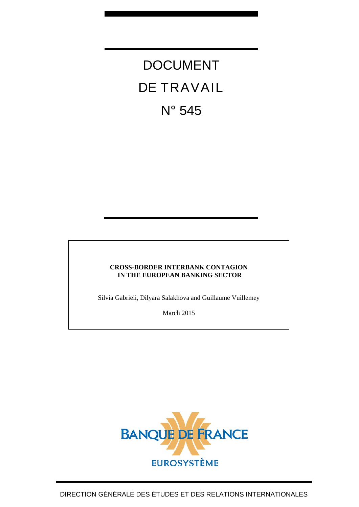# DOCUMENT DE TRAVAIL N° 545

## **CROSS-BORDER INTERBANK CONTAGION IN THE EUROPEAN BANKING SECTOR**

Silvia Gabrieli, Dilyara Salakhova and Guillaume Vuillemey

March 2015

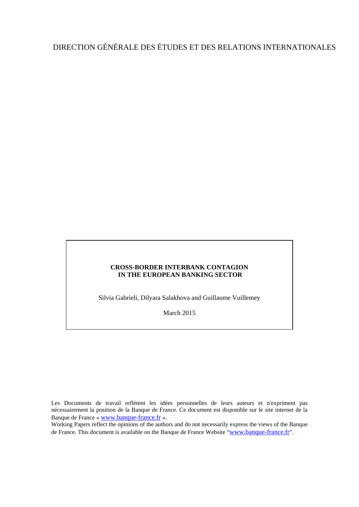# DIRECTION GÉNÉRALE DES ÉTUDES ET DES RELATIONS INTERNATIONALES

## **CROSS-BORDER INTERBANK CONTAGION IN THE EUROPEAN BANKING SECTOR**

Silvia Gabrieli, Dilyara Salakhova and Guillaume Vuillemey

March 2015

Les Documents de travail reflètent les idées personnelles de leurs auteurs et n'expriment pas nécessairement la position de la Banque de France. Ce document est disponible sur le site internet de la Banque de France « [www.banque-france.fr](http://www.banque-france.fr/) ».

Working Papers reflect the opinions of the authors and do not necessarily express the views of the Banque de France. This document is available on the Banque de France Website ["www.banque-france.fr"](http://www.banque-france.fr/).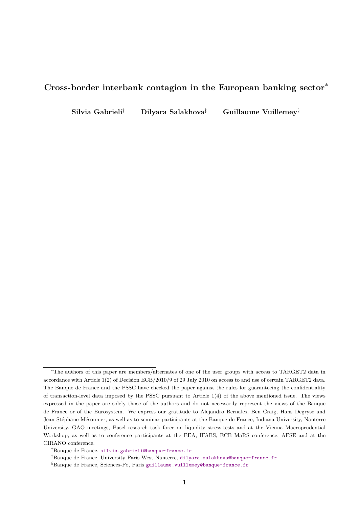## **Cross-border interbank contagion in the European banking sector**<sup>∗</sup>

**Silvia Gabrieli**† **Dilyara Salakhova**‡ **Guillaume Vuillemey**§

<sup>∗</sup>The authors of this paper are members/alternates of one of the user groups with access to TARGET2 data in accordance with Article 1(2) of Decision ECB/2010/9 of 29 July 2010 on access to and use of certain TARGET2 data. The Banque de France and the PSSC have checked the paper against the rules for guaranteeing the confidentiality of transaction-level data imposed by the PSSC pursuant to Article 1(4) of the above mentioned issue. The views expressed in the paper are solely those of the authors and do not necessarily represent the views of the Banque de France or of the Eurosystem. We express our gratitude to Alejandro Bernales, Ben Craig, Hans Degryse and Jean-Stéphane Mésonnier, as well as to seminar participants at the Banque de France, Indiana University, Nanterre University, GAO meetings, Basel research task force on liquidity stress-tests and at the Vienna Macroprudential Workshop, as well as to conference participants at the EEA, IFABS, ECB MaRS conference, AFSE and at the CIRANO conference.

<sup>†</sup>Banque de France, [silvia.gabrieli@banque-france.fr](mailto:silvia.gabrieli@banque-france.fr)

<sup>‡</sup>Banque de France, University Paris West Nanterre, [dilyara.salakhova@banque-france.fr](mailto:dilyara.salakhova@banque-france.fr)

<sup>&</sup>lt;sup>§</sup>Banque de France, Sciences-Po, Paris [guillaume.vuillemey@banque-france.fr](mailto:guillaume.vuillemey@banque-france.fr)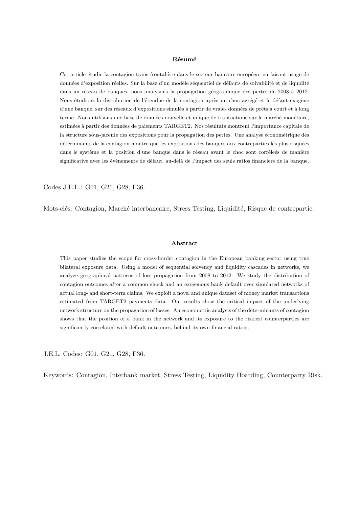#### **Résumé**

Cet article étudie la contagion trans-frontalière dans le secteur bancaire européen, en faisant usage de données d'exposition réelles. Sur la base d'un modèle séquentiel de défauts de solvabilité et de liquidité dans un réseau de banques, nous analysons la propagation géographique des pertes de 2008 à 2012. Nous étudions la distribution de l'étendue de la contagion après un choc agrégé et le défaut exogène d'une banque, sur des réseaux d'expositions simulés à partir de vraies données de prêts à court et à long terme. Nous utilisons une base de données nouvelle et unique de transactions sur le marché monétaire, estimées à partir des données de paiements TARGET2. Nos résultats montrent l'importance capitale de la structure sous-jacente des expositions pour la propagation des pertes. Une analyse économétrique des déterminants de la contagion montre que les expositions des banques aux contreparties les plus risquées dans le système et la position d'une banque dans le réseau avant le choc sont corréleés de manière significative avec les événements de défaut, au-delà de l'impact des seuls ratios financiers de la banque.

Codes J.E.L.: G01, G21, G28, F36.

Mots-clés: Contagion, Marché interbancaire, Stress Testing, Liquidité, Risque de contrepartie.

#### **Abstract**

This paper studies the scope for cross-border contagion in the European banking sector using true bilateral exposure data. Using a model of sequential solvency and liquidity cascades in networks, we analyze geographical patterns of loss propagation from 2008 to 2012. We study the distribution of contagion outcomes after a common shock and an exogenous bank default over simulated networks of actual long- and short-term claims. We exploit a novel and unique dataset of money market transactions estimated from TARGET2 payments data. Our results show the critical impact of the underlying network structure on the propagation of losses. An econometric analysis of the determinants of contagion shows that the position of a bank in the network and its exposure to the riskiest counterparties are significantly correlated with default outcomes, behind its own financial ratios.

J.E.L. Codes: G01, G21, G28, F36.

Keywords: Contagion, Interbank market, Stress Testing, Liquidity Hoarding, Counterparty Risk.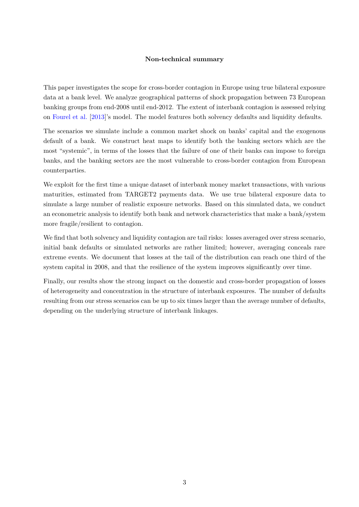#### **Non-technical summary**

This paper investigates the scope for cross-border contagion in Europe using true bilateral exposure data at a bank level. We analyze geographical patterns of shock propagation between 73 European banking groups from end-2008 until end-2012. The extent of interbank contagion is assessed relying on [Fourel et al.](#page-26-0) [\[2013\]](#page-26-0)'s model. The model features both solvency defaults and liquidity defaults.

The scenarios we simulate include a common market shock on banks' capital and the exogenous default of a bank. We construct heat maps to identify both the banking sectors which are the most "systemic", in terms of the losses that the failure of one of their banks can impose to foreign banks, and the banking sectors are the most vulnerable to cross-border contagion from European counterparties.

We exploit for the first time a unique dataset of interbank money market transactions, with various maturities, estimated from TARGET2 payments data. We use true bilateral exposure data to simulate a large number of realistic exposure networks. Based on this simulated data, we conduct an econometric analysis to identify both bank and network characteristics that make a bank/system more fragile/resilient to contagion.

We find that both solvency and liquidity contagion are tail risks: losses averaged over stress scenario, initial bank defaults or simulated networks are rather limited; however, averaging conceals rare extreme events. We document that losses at the tail of the distribution can reach one third of the system capital in 2008, and that the resilience of the system improves significantly over time.

Finally, our results show the strong impact on the domestic and cross-border propagation of losses of heterogeneity and concentration in the structure of interbank exposures. The number of defaults resulting from our stress scenarios can be up to six times larger than the average number of defaults, depending on the underlying structure of interbank linkages.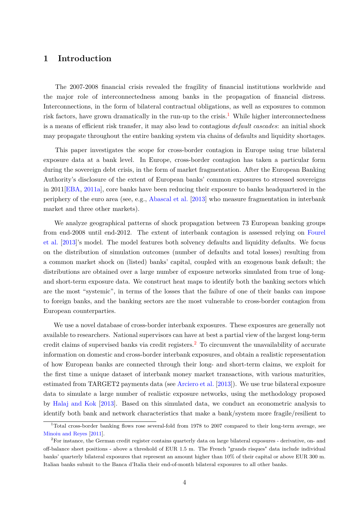## **1 Introduction**

The 2007-2008 financial crisis revealed the fragility of financial institutions worldwide and the major role of interconnectedness among banks in the propagation of financial distress. Interconnections, in the form of bilateral contractual obligations, as well as exposures to common risk factors, have grown dramatically in the run-up to the crisis.<sup>[1](#page-5-0)</sup> While higher interconnectedness is a means of efficient risk transfer, it may also lead to contagious *default cascades*: an initial shock may propagate throughout the entire banking system via chains of defaults and liquidity shortages.

This paper investigates the scope for cross-border contagion in Europe using true bilateral exposure data at a bank level. In Europe, cross-border contagion has taken a particular form during the sovereign debt crisis, in the form of market fragmentation. After the European Banking Authority's disclosure of the extent of European banks' common exposures to stressed sovereigns in 2011[\[EBA,](#page-25-0) [2011a\]](#page-25-0), core banks have been reducing their exposure to banks headquartered in the periphery of the euro area (see, e.g., [Abascal et al.](#page-25-1) [\[2013\]](#page-25-1) who measure fragmentation in interbank market and three other markets).

We analyze geographical patterns of shock propagation between 73 European banking groups from end-2008 until end-2012. The extent of interbank contagion is assessed relying on [Fourel](#page-26-0) [et al.](#page-26-0) [\[2013\]](#page-26-0)'s model. The model features both solvency defaults and liquidity defaults. We focus on the distribution of simulation outcomes (number of defaults and total losses) resulting from a common market shock on (listed) banks' capital, coupled with an exogenous bank default; the distributions are obtained over a large number of exposure networks simulated from true of longand short-term exposure data. We construct heat maps to identify both the banking sectors which are the most "systemic", in terms of the losses that the failure of one of their banks can impose to foreign banks, and the banking sectors are the most vulnerable to cross-border contagion from European counterparties.

We use a novel database of cross-border interbank exposures. These exposures are generally not available to researchers. National supervisors can have at best a partial view of the largest long-term credit claims of supervised banks via credit registers.[2](#page-5-1) To circumvent the unavailability of accurate information on domestic and cross-border interbank exposures, and obtain a realistic representation of how European banks are connected through their long- and short-term claims, we exploit for the first time a unique dataset of interbank money market transactions, with various maturities, estimated from TARGET2 payments data (see [Arciero et al.](#page-25-2) [\[2013\]](#page-25-2)). We use true bilateral exposure data to simulate a large number of realistic exposure networks, using the methodology proposed by [Halaj and Kok](#page-26-1) [\[2013\]](#page-26-1). Based on this simulated data, we conduct an econometric analysis to identify both bank and network characteristics that make a bank/system more fragile/resilient to

<span id="page-5-0"></span><sup>1</sup>Total cross-border banking flows rose several-fold from 1978 to 2007 compared to their long-term average, see [Minoiu and Reyes](#page-26-2) [\[2011\]](#page-26-2).

<span id="page-5-1"></span><sup>2</sup>For instance, the German credit register contains quarterly data on large bilateral exposures - derivative, on- and off-balance sheet positions - above a threshold of EUR 1.5 m. The French "grands risques" data include individual banks' quarterly bilateral exposures that represent an amount higher than 10% of their capital or above EUR 300 m. Italian banks submit to the Banca d'Italia their end-of-month bilateral exposures to all other banks.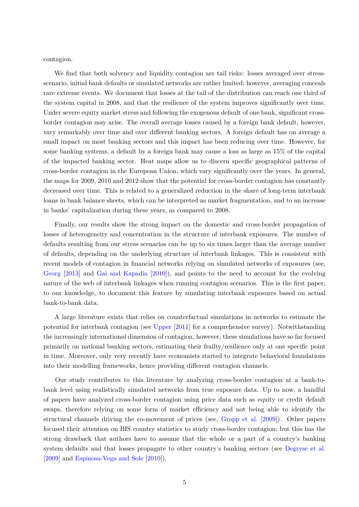contagion.

We find that both solvency and liquidity contagion are tail risks: losses averaged over stressscenario, initial bank defaults or simulated networks are rather limited; however, averaging conceals rare extreme events. We document that losses at the tail of the distribution can reach one third of the system capital in 2008, and that the resilience of the system improves significantly over time. Under severe equity market stress and following the exogenous default of one bank, significant crossborder contagion may arise. The overall average losses caused by a foreign bank default, however, vary remarkably over time and over different banking sectors. A foreign default has on average a small impact on most banking sectors and this impact has been reducing over time. However, for some banking systems, a default by a foreign bank may cause a loss as large as 15% of the capital of the impacted banking sector. Heat maps allow us to discern specific geographical patterns of cross-border contagion in the European Union, which vary significantly over the years. In general, the maps for 2009, 2010 and 2012 show that the potential for cross-border contagion has constantly decreased over time. This is related to a generalized reduction in the share of long-term interbank loans in bank balance sheets, which can be interpreted as market fragmentation, and to an increase in banks' capitalization during these years, as compared to 2008.

Finally, our results show the strong impact on the domestic and cross-border propagation of losses of heterogeneity and concentration in the structure of interbank exposures. The number of defaults resulting from our stress scenarios can be up to six times larger than the average number of defaults, depending on the underlying structure of interbank linkages. This is consistent with recent models of contagion in financial networks relying on simulated networks of exposures (see, [Georg](#page-26-3) [\[2013\]](#page-26-3) and [Gai and Kapadia](#page-26-4) [\[2010\]](#page-26-4)), and points to the need to account for the evolving nature of the web of interbank linkages when running contagion scenarios. This is the first paper, to our knowledge, to document this feature by simulating interbank exposures based on actual bank-to-bank data.

A large literature exists that relies on counterfactual simulations in networks to estimate the potential for interbank contagion (see [Upper](#page-27-0) [\[2011\]](#page-27-0) for a comprehensive survey). Notwithstanding the increasingly international dimension of contagion, however, these simulations have so far focused primarily on national banking sectors, estimating their frailty/resilience only at one specific point in time. Moreover, only very recently have economists started to integrate behavioral foundations into their modelling frameworks, hence providing different contagion channels.

Our study contributes to this literature by analyzing cross-border contagion at a bank-tobank level using realistically simulated networks from true exposure data. Up to now, a handful of papers have analyzed cross-border contagion using price data such as equity or credit default swaps, therefore relying on some form of market efficiency and not being able to identify the structural channels driving the co-movement of prices (see, [Gropp et al.](#page-26-5) [\[2009\]](#page-26-5)). Other papers focused their attention on BIS country statistics to study cross-border contagion; but this has the strong drawback that authors have to assume that the whole or a part of a country's banking system defaults and that losses propagate to other country's banking sectors (see [Degryse et al.](#page-25-3) [\[2009\]](#page-25-3) and [Espinosa-Vega and Sole](#page-26-6) [\[2010\]](#page-26-6)).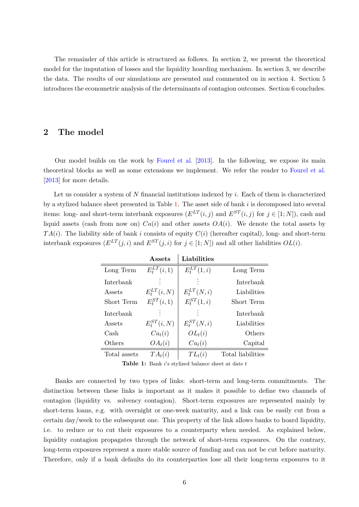The remainder of this article is structured as follows. In section 2, we present the theoretical model for the imputation of losses and the liquidity hoarding mechanism. In section 3, we describe the data. The results of our simulations are presented and commented on in section 4. Section 5 introduces the econometric analysis of the determinants of contagion outcomes. Section 6 concludes.

## **2 The model**

Our model builds on the work by [Fourel et al.](#page-26-0) [\[2013\]](#page-26-0). In the following, we expose its main theoretical blocks as well as some extensions we implement. We refer the reader to [Fourel et al.](#page-26-0) [\[2013\]](#page-26-0) for more details.

<span id="page-7-0"></span>Let us consider a system of *N* financial institutions indexed by *i*. Each of them is characterized by a stylized balance sheet presented in Table [1.](#page-7-0) The asset side of bank *i* is decomposed into several items: long- and short-term interbank exposures  $(E^{LT}(i, j)$  and  $E^{ST}(i, j)$  for  $j \in [1; N]$ ), cash and liquid assets (cash from now on)  $Ca(i)$  and other assets  $OA(i)$ . We denote the total assets by *TA(i)*. The liability side of bank *i* consists of equity  $C(i)$  (hereafter capital), long- and short-term interbank exposures  $(E^{LT}(j, i)$  and  $E^{ST}(j, i)$  for  $j \in [1; N]$ ) and all other liabilities  $OL(i)$ .

|              | Assets              | Liabilities         |                   |
|--------------|---------------------|---------------------|-------------------|
| Long Term    | $E_t^{LT}(i,1)$     | $E^{LT}_t(1,i)$     | Long Term         |
| Interbank    |                     |                     | Interbank         |
| Assets       | $E_t^{LT}(i, N)$    | $E_t^{LT}(N,i)$     | Liabilities       |
| Short Term   | $E_t^{ST}(i,1)$     | $E_t^{ST}(1,i)$     | Short Term        |
| Interbank    |                     |                     | Interbank         |
| Assets       | $E_t^{ST}(i, N)$    | $E^{ST}_t(N,i)$     | Liabilities       |
| Cash         | Ca <sub>t</sub> (i) | $OL_t(i)$           | Others            |
| Others       | $OA_t(i)$           | Ca <sub>t</sub> (i) | Capital           |
| Total assets | $TA_t(i)$           | $TL_t(i)$           | Total liabilities |

**Table 1:** Bank *i*'s stylized balance sheet at date *t*

Banks are connected by two types of links: short-term and long-term commitments. The distinction between these links is important as it makes it possible to define two channels of contagion (liquidity vs. solvency contagion). Short-term exposures are represented mainly by short-term loans, e.g. with overnight or one-week maturity, and a link can be easily cut from a certain day/week to the subsequent one. This property of the link allows banks to hoard liquidity, i.e. to reduce or to cut their exposures to a counterparty when needed. As explained below, liquidity contagion propagates through the network of short-term exposures. On the contrary, long-term exposures represent a more stable source of funding and can not be cut before maturity. Therefore, only if a bank defaults do its counterparties lose all their long-term exposures to it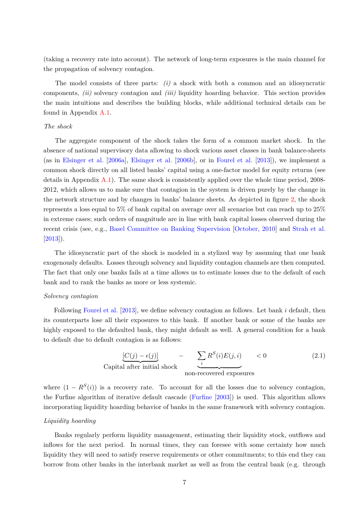(taking a recovery rate into account). The network of long-term exposures is the main channel for the propagation of solvency contagion.

The model consists of three parts: *(i)* a shock with both a common and an idiosyncratic components, *(ii)* solvency contagion and *(iii)* liquidity hoarding behavior. This section provides the main intuitions and describes the building blocks, while additional technical details can be found in Appendix [A.1.](#page-28-0)

#### *The shock*

The aggregate component of the shock takes the form of a common market shock. In the absence of national supervisory data allowing to shock various asset classes in bank balance-sheets (as in [Elsinger et al.](#page-25-4) [\[2006a\]](#page-25-4), [Elsinger et al.](#page-25-5) [\[2006b\]](#page-25-5), or in [Fourel et al.](#page-26-0) [\[2013\]](#page-26-0)), we implement a common shock directly on all listed banks' capital using a one-factor model for equity returns (see details in Appendix [A.1\)](#page-28-0). The same shock is consistently applied over the whole time period, 2008- 2012, which allows us to make sure that contagion in the system is driven purely by the change in the network structure and by changes in banks' balance sheets. As depicted in figure [2,](#page-28-1) the shock represents a loss equal to 5% of bank capital on average over all scenarios but can reach up to 25% in extreme cases; such orders of magnitude are in line with bank capital losses observed during the recent crisis (see, e.g., [Basel Committee on Banking Supervision](#page-25-6) [\[October, 2010\]](#page-25-6) and [Strah et al.](#page-27-1)  $[2013]$ ).

The idiosyncratic part of the shock is modeled in a stylized way by assuming that one bank exogenously defaults. Losses through solvency and liquidity contagion channels are then computed. The fact that only one banks fails at a time allows us to estimate losses due to the default of each bank and to rank the banks as more or less systemic.

#### *Solvency contagion*

Following [Fourel et al.](#page-26-0) [\[2013\]](#page-26-0), we define solvency contagion as follows. Let bank *i* default, then its counterparts lose all their exposures to this bank. If another bank or some of the banks are highly exposed to the defaulted bank, they might default as well. A general condition for a bank to default due to default contagion is as follows:

$$
\underbrace{[C(j) - \epsilon(j)]}_{\text{Capital after initial shock}} - \underbrace{\sum_{i} R^{S}(i)E(j, i)}_{\text{non-recovered exposures}} < 0 \tag{2.1}
$$

where  $(1 - R^{S}(i))$  is a recovery rate. To account for all the losses due to solvency contagion, the Furfine algorithm of iterative default cascade [\(Furfine](#page-26-7) [\[2003\]](#page-26-7)) is used. This algorithm allows incorporating liquidity hoarding behavior of banks in the same framework with solvency contagion.

#### *Liquidity hoarding*

Banks regularly perform liquidity management, estimating their liquidity stock, outflows and inflows for the next period. In normal times, they can foresee with some certainty how much liquidity they will need to satisfy reserve requirements or other commitments; to this end they can borrow from other banks in the interbank market as well as from the central bank (e.g. through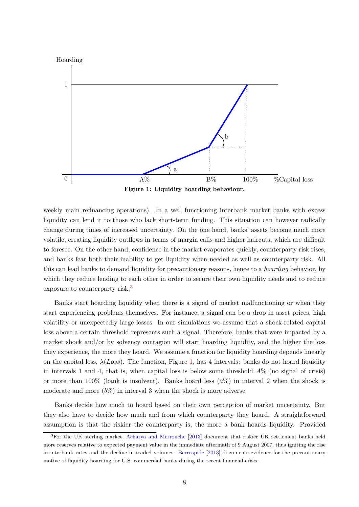<span id="page-9-1"></span>

weekly main refinancing operations). In a well functioning interbank market banks with excess liquidity can lend it to those who lack short-term funding. This situation can however radically change during times of increased uncertainty. On the one hand, banks' assets become much more volatile, creating liquidity outflows in terms of margin calls and higher haircuts, which are difficult to foresee. On the other hand, confidence in the market evaporates quickly, counterparty risk rises, and banks fear both their inability to get liquidity when needed as well as counterparty risk. All this can lead banks to demand liquidity for precautionary reasons, hence to a *hoarding* behavior, by which they reduce lending to each other in order to secure their own liquidity needs and to reduce exposure to counterparty risk.<sup>[3](#page-9-0)</sup>

Banks start hoarding liquidity when there is a signal of market malfunctioning or when they start experiencing problems themselves. For instance, a signal can be a drop in asset prices, high volatility or unexpectedly large losses. In our simulations we assume that a shock-related capital loss above a certain threshold represents such a signal. Therefore, banks that were impacted by a market shock and/or by solvency contagion will start hoarding liquidity, and the higher the loss they experience, the more they hoard. We assume a function for liquidity hoarding depends linearly on the capital loss,  $\lambda (Loss)$ . The function, Figure [1,](#page-9-1) has 4 intervals: banks do not hoard liquidity in intervals 1 and 4, that is, when capital loss is below some threshold *A*% (no signal of crisis) or more than 100% (bank is insolvent). Banks hoard less  $(a\%)$  in interval 2 when the shock is moderate and more  $(b\%)$  in interval 3 when the shock is more adverse.

Banks decide how much to hoard based on their own perception of market uncertainty. But they also have to decide how much and from which counterparty they hoard. A straightforward assumption is that the riskier the counterparty is, the more a bank hoards liquidity. Provided

<span id="page-9-0"></span><sup>3</sup>For the UK sterling market, [Acharya and Merrouche](#page-25-7) [\[2013\]](#page-25-7) document that riskier UK settlement banks held more reserves relative to expected payment value in the immediate aftermath of 9 August 2007, thus igniting the rise in interbank rates and the decline in traded volumes. [Berrospide](#page-25-8) [\[2013\]](#page-25-8) documents evidence for the precautionary motive of liquidity hoarding for U.S. commercial banks during the recent financial crisis.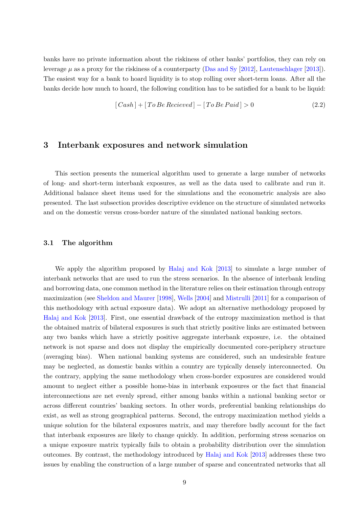banks have no private information about the riskiness of other banks' portfolios, they can rely on leverage  $\mu$  as a proxy for the riskiness of a counterparty [\(Das and Sy](#page-25-9) [\[2012\]](#page-25-9), [Lautenschlager](#page-26-8) [\[2013\]](#page-26-8)). The easiest way for a bank to hoard liquidity is to stop rolling over short-term loans. After all the banks decide how much to hoard, the following condition has to be satisfied for a bank to be liquid:

$$
[Cash] + [ToBe Recieved] - [ToBePad] > 0
$$
\n(2.2)

## **3 Interbank exposures and network simulation**

This section presents the numerical algorithm used to generate a large number of networks of long- and short-term interbank exposures, as well as the data used to calibrate and run it. Additional balance sheet items used for the simulations and the econometric analysis are also presented. The last subsection provides descriptive evidence on the structure of simulated networks and on the domestic versus cross-border nature of the simulated national banking sectors.

#### **3.1 The algorithm**

We apply the algorithm proposed by [Halaj and Kok](#page-26-1) [\[2013\]](#page-26-1) to simulate a large number of interbank networks that are used to run the stress scenarios. In the absence of interbank lending and borrowing data, one common method in the literature relies on their estimation through entropy maximization (see [Sheldon and Maurer](#page-27-2) [\[1998\]](#page-27-2), [Wells](#page-27-3) [\[2004\]](#page-27-3) and [Mistrulli](#page-26-9) [\[2011\]](#page-26-9) for a comparison of this methodology with actual exposure data). We adopt an alternative methodology proposed by [Halaj and Kok](#page-26-1) [\[2013\]](#page-26-1). First, one essential drawback of the entropy maximization method is that the obtained matrix of bilateral exposures is such that strictly positive links are estimated between any two banks which have a strictly positive aggregate interbank exposure, i.e. the obtained network is not sparse and does not display the empirically documented core-periphery structure (averaging bias). When national banking systems are considered, such an undesirable feature may be neglected, as domestic banks within a country are typically densely interconnected. On the contrary, applying the same methodology when cross-border exposures are considered would amount to neglect either a possible home-bias in interbank exposures or the fact that financial interconnections are net evenly spread, either among banks within a national banking sector or across different countries' banking sectors. In other words, preferential banking relationships do exist, as well as strong geographical patterns. Second, the entropy maximization method yields a unique solution for the bilateral exposures matrix, and may therefore badly account for the fact that interbank exposures are likely to change quickly. In addition, performing stress scenarios on a unique exposure matrix typically fails to obtain a probability distribution over the simulation outcomes. By contrast, the methodology introduced by [Halaj and Kok](#page-26-1) [\[2013\]](#page-26-1) addresses these two issues by enabling the construction of a large number of sparse and concentrated networks that all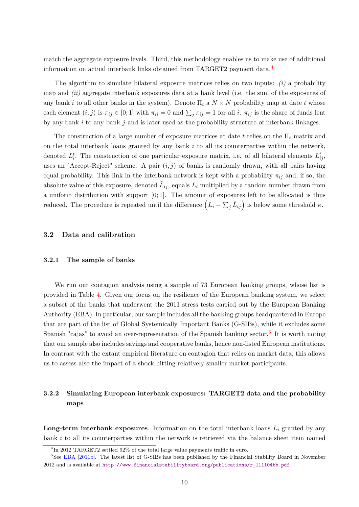match the aggregate exposure levels. Third, this methodology enables us to make use of additional information on actual interbank links obtained from TARGET2 payment data.[4](#page-11-0)

The algorithm to simulate bilateral exposure matrices relies on two inputs: *(i)* a probability map and *(ii)* aggregate interbank exposures data at a bank level (i.e. the sum of the exposures of any bank *i* to all other banks in the system). Denote  $\Pi_t$  a  $N \times N$  probability map at date *t* whose each element  $(i, j)$  is  $\pi_{ij} \in [0, 1]$  with  $\pi_{ii} = 0$  and  $\sum_j \pi_{ij} = 1$  for all *i*.  $\pi_{ij}$  is the share of funds lent by any bank *i* to any bank *j* and is later used as the probability structure of interbank linkages.

The construction of a large number of exposure matrices at date *t* relies on the Π*<sup>t</sup>* matrix and on the total interbank loans granted by any bank *i* to all its counterparties within the network, denoted  $L_i^t$ . The construction of one particular exposure matrix, i.e. of all bilateral elements  $L_{ij}^t$ , uses an "Accept-Reject" scheme. A pair  $(i, j)$  of banks is randomly drawn, with all pairs having equal probability. This link in the interbank network is kept with a probability  $\pi_{ij}$  and, if so, the absolute value of this exposure, denoted  $\tilde{L}_{ij}$ , equals  $L_i$  multiplied by a random number drawn from a uniform distribution with support  $[0; 1]$ . The amount of exposures left to be allocated is thus reduced. The procedure is repeated until the difference  $(L_i - \sum_j \tilde{L}_{ij})$  is below some threshold  $\kappa$ .

#### **3.2 Data and calibration**

#### **3.2.1 The sample of banks**

We run our contagion analysis using a sample of 73 European banking groups, whose list is provided in Table [4.](#page-32-0) Given our focus on the resilience of the European banking system, we select a subset of the banks that underwent the 2011 stress tests carried out by the European Banking Authority (EBA). In particular, our sample includes all the banking groups headquartered in Europe that are part of the list of Global Systemically Important Banks (G-SIBs), while it excludes some Spanish "cajas" to avoid an over-representation of the Spanish banking sector.<sup>[5](#page-11-1)</sup> It is worth noting that our sample also includes savings and cooperative banks, hence non-listed European institutions. In contrast with the extant empirical literature on contagion that relies on market data, this allows us to assess also the impact of a shock hitting relatively smaller market participants.

## **3.2.2 Simulating European interbank exposures: TARGET2 data and the probability maps**

**Long-term interbank exposures**. Information on the total interbank loans *L<sup>i</sup>* granted by any bank *i* to all its counterparties within the network is retrieved via the balance sheet item named

<span id="page-11-1"></span><span id="page-11-0"></span><sup>&</sup>lt;sup>4</sup>In 2012 TARGET2 settled 92% of the total large value payments traffic in euro.

<sup>&</sup>lt;sup>5</sup>See [EBA](#page-25-10) [\[2011b\]](#page-25-10). The latest list of G-SIBs has been published by the Financial Stability Board in November 2012 and is available at [http://www.financialstabilityboard.org/publications/r\\_111104bb.pdf.](http://www.financialstabilityboard.org/publications/r_111104bb.pdf.)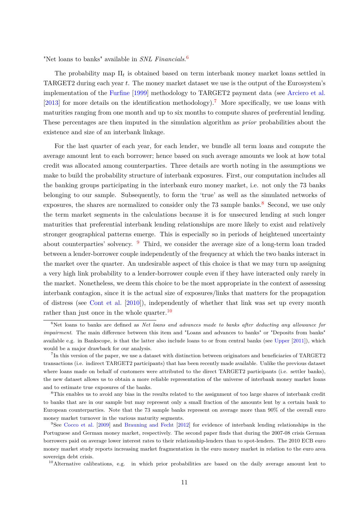"Net loans to banks" available in *SNL Financials*. [6](#page-12-0)

The probability map  $\Pi_t$  is obtained based on term interbank money market loans settled in TARGET2 during each year *t*. The money market dataset we use is the output of the Eurosystem's implementation of the [Furfine](#page-26-10) [\[1999\]](#page-26-10) methodology to TARGET2 payment data (see [Arciero et al.](#page-25-2) [\[2013\]](#page-25-2) for more details on the identification methodology).[7](#page-12-1) More specifically, we use loans with maturities ranging from one month and up to six months to compute shares of preferential lending. These percentages are then imputed in the simulation algorithm as *prior* probabilities about the existence and size of an interbank linkage.

For the last quarter of each year, for each lender, we bundle all term loans and compute the average amount lent to each borrower; hence based on such average amounts we look at how total credit was allocated among counterparties. Three details are worth noting in the assumptions we make to build the probability structure of interbank exposures. First, our computation includes all the banking groups participating in the interbank euro money market, i.e. not only the 73 banks belonging to our sample. Subsequently, to form the 'true' as well as the simulated networks of exposures, the shares are normalized to consider only the  $73$  sample banks.<sup>[8](#page-12-2)</sup> Second, we use only the term market segments in the calculations because it is for unsecured lending at such longer maturities that preferential interbank lending relationships are more likely to exist and relatively stronger geographical patterns emerge. This is especially so in periods of heightened uncertainty about counterparties' solvency. [9](#page-12-3) Third, we consider the average size of a long-term loan traded between a lender-borrower couple independently of the frequency at which the two banks interact in the market over the quarter. An undesirable aspect of this choice is that we may turn up assigning a very high link probability to a lender-borrower couple even if they have interacted only rarely in the market. Nonetheless, we deem this choice to be the most appropriate in the context of assessing interbank contagion, since it is the actual size of exposures/links that matters for the propagation of distress (see [Cont et al.](#page-25-11) [\[2010\]](#page-25-11)), independently of whether that link was set up every month rather than just once in the whole quarter.<sup>[10](#page-12-4)</sup>

<span id="page-12-4"></span><sup>10</sup>Alternative calibrations, e.g. in which prior probabilities are based on the daily average amount lent to

<span id="page-12-0"></span><sup>&</sup>lt;sup>6</sup>Net loans to banks are defined as *Net loans and advances made to banks after deducting any allowance for impairment*. The main difference between this item and "Loans and advances to banks" or "Deposits from banks" available e.g. in Bankscope, is that the latter also include loans to or from central banks (see [Upper](#page-27-0) [\[2011\]](#page-27-0)), which would be a major drawback for our analysis.

<span id="page-12-1"></span><sup>&</sup>lt;sup>7</sup>In this version of the paper, we use a dataset with distinction between originators and beneficiaries of TARGET2 transactions (i.e. indirect TARGET2 participants) that has been recently made available. Unlike the previous dataset where loans made on behalf of customers were attributed to the direct TARGET2 participants (i.e. settler banks), the new dataset allows us to obtain a more reliable representation of the universe of interbank money market loans and to estimate true exposures of the banks.

<span id="page-12-2"></span><sup>8</sup>This enables us to avoid any bias in the results related to the assignment of too large shares of interbank credit to banks that are in our sample but may represent only a small fraction of the amounts lent by a certain bank to European counterparties. Note that the 73 sample banks represent on average more than 90% of the overall euro money market turnover in the various maturity segments.

<span id="page-12-3"></span><sup>9</sup>See [Cocco et al.](#page-25-12) [\[2009\]](#page-25-12) and [Brauning and Fecht](#page-25-13) [\[2012\]](#page-25-13) for evidence of interbank lending relationships in the Portuguese and German money market, respectively. The second paper finds that during the 2007-08 crisis German borrowers paid on average lower interest rates to their relationship-lenders than to spot-lenders. The 2010 ECB euro money market study reports increasing market fragmentation in the euro money market in relation to the euro area sovereign debt crisis.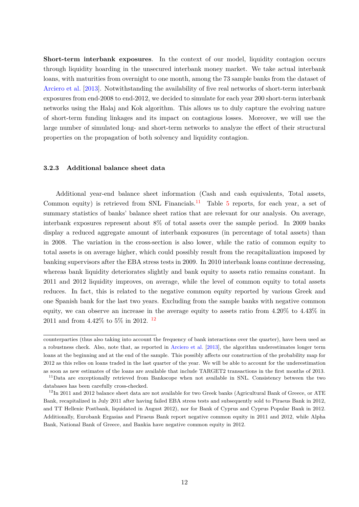**Short-term interbank exposures**. In the context of our model, liquidity contagion occurs through liquidity hoarding in the unsecured interbank money market. We take actual interbank loans, with maturities from overnight to one month, among the 73 sample banks from the dataset of [Arciero et al.](#page-25-2) [\[2013\]](#page-25-2). Notwithstanding the availability of five real networks of short-term interbank exposures from end-2008 to end-2012, we decided to simulate for each year 200 short-term interbank networks using the Halaj and Kok algorithm. This allows us to duly capture the evolving nature of short-term funding linkages and its impact on contagious losses. Moreover, we will use the large number of simulated long- and short-term networks to analyze the effect of their structural properties on the propagation of both solvency and liquidity contagion.

#### **3.2.3 Additional balance sheet data**

Additional year-end balance sheet information (Cash and cash equivalents, Total assets, Common equity) is retrieved from SNL Financials.<sup>[11](#page-13-0)</sup> Table [5](#page-33-0) reports, for each year, a set of summary statistics of banks' balance sheet ratios that are relevant for our analysis. On average, interbank exposures represent about 8% of total assets over the sample period. In 2009 banks display a reduced aggregate amount of interbank exposures (in percentage of total assets) than in 2008. The variation in the cross-section is also lower, while the ratio of common equity to total assets is on average higher, which could possibly result from the recapitalization imposed by banking supervisors after the EBA stress tests in 2009. In 2010 interbank loans continue decreasing, whereas bank liquidity deteriorates slightly and bank equity to assets ratio remains constant. In 2011 and 2012 liquidity improves, on average, while the level of common equity to total assets reduces. In fact, this is related to the negative common equity reported by various Greek and one Spanish bank for the last two years. Excluding from the sample banks with negative common equity, we can observe an increase in the average equity to assets ratio from 4.20% to 4.43% in 2011 and from 4.42% to 5% in 2012. [12](#page-13-1)

counterparties (thus also taking into account the frequency of bank interactions over the quarter), have been used as a robustness check. Also, note that, as reported in [Arciero et al.](#page-25-2) [\[2013\]](#page-25-2), the algorithm underestimates longer term loans at the beginning and at the end of the sample. This possibly affects our construction of the probability map for 2012 as this relies on loans traded in the last quarter of the year. We will be able to account for the underestimation as soon as new estimates of the loans are available that include TARGET2 transactions in the first months of 2013.

<span id="page-13-0"></span><sup>11</sup>Data are exceptionally retrieved from Bankscope when not available in SNL. Consistency between the two databases has been carefully cross-checked.

<span id="page-13-1"></span> $12$ In 2011 and 2012 balance sheet data are not available for two Greek banks (Agricultural Bank of Greece, or ATE Bank, recapitalized in July 2011 after having failed EBA stress tests and subsequently sold to Piraeus Bank in 2012, and TT Hellenic Postbank, liquidated in August 2012), nor for Bank of Cyprus and Cyprus Popular Bank in 2012. Additionally, Eurobank Ergasias and Piraeus Bank report negative common equity in 2011 and 2012, while Alpha Bank, National Bank of Greece, and Bankia have negative common equity in 2012.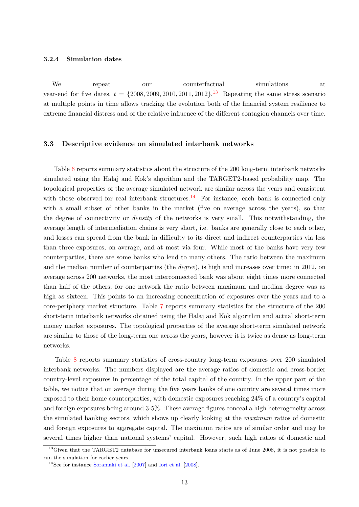#### **3.2.4 Simulation dates**

We repeat our counterfactual simulations at year-end for five dates,  $t = \{2008, 2009, 2010, 2011, 2012\}$ .<sup>[13](#page-14-0)</sup> Repeating the same stress scenario at multiple points in time allows tracking the evolution both of the financial system resilience to extreme financial distress and of the relative influence of the different contagion channels over time.

#### **3.3 Descriptive evidence on simulated interbank networks**

Table [6](#page-34-0) reports summary statistics about the structure of the 200 long-term interbank networks simulated using the Halaj and Kok's algorithm and the TARGET2-based probability map. The topological properties of the average simulated network are similar across the years and consistent with those observed for real interbank structures.<sup>[14](#page-14-1)</sup> For instance, each bank is connected only with a small subset of other banks in the market (five on average across the years), so that the degree of connectivity or *density* of the networks is very small. This notwithstanding, the average length of intermediation chains is very short, i.e. banks are generally close to each other, and losses can spread from the bank in difficulty to its direct and indirect counterparties via less than three exposures, on average, and at most via four. While most of the banks have very few counterparties, there are some banks who lend to many others. The ratio between the maximum and the median number of counterparties (the *degree*), is high and increases over time: in 2012, on average across 200 networks, the most interconnected bank was about eight times more connected than half of the others; for one network the ratio between maximum and median degree was as high as sixteen. This points to an increasing concentration of exposures over the years and to a core-periphery market structure. Table [7](#page-35-0) reports summary statistics for the structure of the 200 short-term interbank networks obtained using the Halaj and Kok algorithm and actual short-term money market exposures. The topological properties of the average short-term simulated network are similar to those of the long-term one across the years, however it is twice as dense as long-term networks.

Table [8](#page-36-0) reports summary statistics of cross-country long-term exposures over 200 simulated interbank networks. The numbers displayed are the average ratios of domestic and cross-border country-level exposures in percentage of the total capital of the country. In the upper part of the table, we notice that on average during the five years banks of one country are several times more exposed to their home counterparties, with domestic exposures reaching 24% of a country's capital and foreign exposures being around 3-5%. These average figures conceal a high heterogeneity across the simulated banking sectors, which shows up clearly looking at the *maximum* ratios of domestic and foreign exposures to aggregate capital. The maximum ratios are of similar order and may be several times higher than national systems' capital. However, such high ratios of domestic and

<span id="page-14-0"></span><sup>&</sup>lt;sup>13</sup>Given that the TARGET2 database for unsecured interbank loans starts as of June 2008, it is not possible to run the simulation for earlier years.

<span id="page-14-1"></span><sup>14</sup>See for instance [Soramaki et al.](#page-27-4) [\[2007\]](#page-27-4) and [Iori et al.](#page-26-11) [\[2008\]](#page-26-11).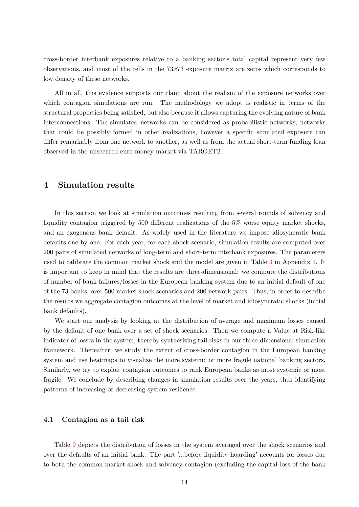cross-border interbank exposures relative to a banking sector's total capital represent very few observations, and most of the cells in the 73*x*73 exposure matrix are zeros which corresponds to low density of these networks.

All in all, this evidence supports our claim about the realism of the exposure networks over which contagion simulations are run. The methodology we adopt is realistic in terms of the structural properties being satisfied, but also because it allows capturing the evolving nature of bank interconnections. The simulated networks can be considered as probabilistic networks; networks that could be possibly formed in other realizations, however a specific simulated exposure can differ remarkably from one network to another, as well as from the actual short-term funding loan observed in the unsecured euro money market via TARGET2.

## **4 Simulation results**

In this section we look at simulation outcomes resulting from several rounds of solvency and liquidity contagion triggered by 500 different realizations of the 5% worse equity market shocks, and an exogenous bank default. As widely used in the literature we impose idiosyncratic bank defaults one by one. For each year, for each shock scenario, simulation results are computed over 200 pairs of simulated networks of long-term and short-term interbank exposures. The parameters used to calibrate the common market shock and the model are given in Table [3](#page-31-0) in Appendix 1. It is important to keep in mind that the results are three-dimensional: we compute the distributions of number of bank failures/losses in the European banking system due to an initial default of one of the 73 banks, over 500 market shock scenarios and 200 network pairs. Thus, in order to describe the results we aggregate contagion outcomes at the level of market and idiosyncratic shocks (initial bank defaults).

We start our analysis by looking at the distribution of average and maximum losses caused by the default of one bank over a set of shock scenarios. Then we compute a Value at Risk-like indicator of losses in the system, thereby synthesizing tail risks in our three-dimensional simulation framework. Thereafter, we study the extent of cross-border contagion in the European banking system and use heatmaps to visualize the more systemic or more fragile national banking sectors. Similarly, we try to exploit contagion outcomes to rank European banks as most systemic or most fragile. We conclude by describing changes in simulation results over the years, thus identifying patterns of increasing or decreasing system resilience.

#### **4.1 Contagion as a tail risk**

Table [9](#page-37-0) depicts the distribution of losses in the system averaged over the shock scenarios and over the defaults of an initial bank. The part '...before liquidity hoarding' accounts for losses due to both the common market shock and solvency contagion (excluding the capital loss of the bank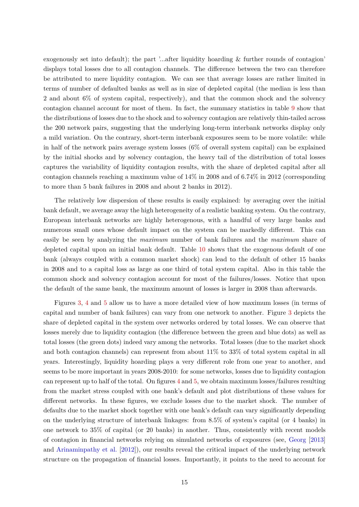exogenously set into default); the part '...after liquidity hoarding & further rounds of contagion' displays total losses due to all contagion channels. The difference between the two can therefore be attributed to mere liquidity contagion. We can see that average losses are rather limited in terms of number of defaulted banks as well as in size of depleted capital (the median is less than 2 and about 6% of system capital, respectively), and that the common shock and the solvency contagion channel account for most of them. In fact, the summary statistics in table [9](#page-37-0) show that the distributions of losses due to the shock and to solvency contagion are relatively thin-tailed across the 200 network pairs, suggesting that the underlying long-term interbank networks display only a mild variation. On the contrary, short-term interbank exposures seem to be more volatile: while in half of the network pairs average system losses (6% of overall system capital) can be explained by the initial shocks and by solvency contagion, the heavy tail of the distribution of total losses captures the variability of liquidity contagion results, with the share of depleted capital after all contagion channels reaching a maximum value of 14% in 2008 and of 6.74% in 2012 (corresponding to more than 5 bank failures in 2008 and about 2 banks in 2012).

The relatively low dispersion of these results is easily explained: by averaging over the initial bank default, we average away the high heterogeneity of a realistic banking system. On the contrary, European interbank networks are highly heterogenous, with a handful of very large banks and numerous small ones whose default impact on the system can be markedly different. This can easily be seen by analyzing the *maximum* number of bank failures and the *maximum* share of depleted capital upon an initial bank default. Table [10](#page-38-0) shows that the exogenous default of one bank (always coupled with a common market shock) can lead to the default of other 15 banks in 2008 and to a capital loss as large as one third of total system capital. Also in this table the common shock and solvency contagion account for most of the failures/losses. Notice that upon the default of the same bank, the maximum amount of losses is larger in 2008 than afterwards.

Figures [3,](#page-39-0) [4](#page-40-0) and [5](#page-40-0) allow us to have a more detailed view of how maximum losses (in terms of capital and number of bank failures) can vary from one network to another. Figure [3](#page-39-0) depicts the share of depleted capital in the system over networks ordered by total losses. We can observe that losses merely due to liquidity contagion (the difference between the green and blue dots) as well as total losses (the green dots) indeed vary among the networks. Total losses (due to the market shock and both contagion channels) can represent from about 11% to 33% of total system capital in all years. Interestingly, liquidity hoarding plays a very different role from one year to another, and seems to be more important in years 2008-2010: for some networks, losses due to liquidity contagion can represent up to half of the total. On figures [4](#page-40-0) and [5,](#page-40-0) we obtain maximum losses/failures resulting from the market stress coupled with one bank's default and plot distributions of these values for different networks. In these figures, we exclude losses due to the market shock. The number of defaults due to the market shock together with one bank's default can vary significantly depending on the underlying structure of interbank linkages: from 8.5% of system's capital (or 4 banks) in one network to 35% of capital (or 20 banks) in another. Thus, consistently with recent models of contagion in financial networks relying on simulated networks of exposures (see, [Georg](#page-26-3) [\[2013\]](#page-26-3) and [Arinaminpathy et al.](#page-25-14) [\[2012\]](#page-25-14)), our results reveal the critical impact of the underlying network structure on the propagation of financial losses. Importantly, it points to the need to account for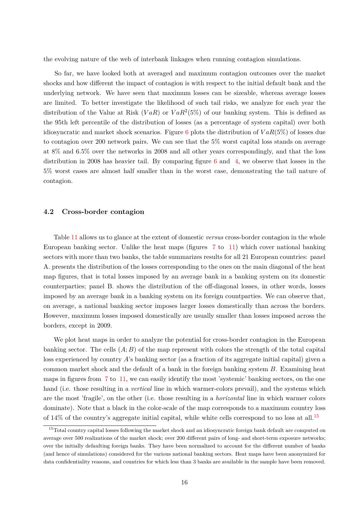the evolving nature of the web of interbank linkages when running contagion simulations.

So far, we have looked both at averaged and maximum contagion outcomes over the market shocks and how different the impact of contagion is with respect to the initial default bank and the underlying network. We have seen that maximum losses can be sizeable, whereas average losses are limited. To better investigate the likelihood of such tail risks, we analyze for each year the distribution of the Value at Risk  $(VaR)$  or  $VaR^2(5\%)$  of our banking system. This is defined as the 95th left percentile of the distribution of losses (as a percentage of system capital) over both idiosyncratic and market shock scenarios. Figure [6](#page-41-0) plots the distribution of *V aR*(5%) of losses due to contagion over 200 network pairs. We can see that the 5% worst capital loss stands on average at 8% and 6.5% over the networks in 2008 and all other years correspondingly, and that the loss distribution in 2008 has heavier tail. By comparing figure [6](#page-41-0) and [4,](#page-40-0) we observe that losses in the 5% worst cases are almost half smaller than in the worst case, demonstrating the tail nature of contagion.

#### **4.2 Cross-border contagion**

Table [11](#page-39-1) allows us to glance at the extent of domestic *versus* cross-border contagion in the whole European banking sector. Unlike the heat maps (figures [7](#page-42-0) to [11\)](#page-44-0) which cover national banking sectors with more than two banks, the table summarizes results for all 21 European countries: panel A. presents the distribution of the losses corresponding to the ones on the main diagonal of the heat map figures, that is total losses imposed by an average bank in a banking system on its domestic counterparties; panel B. shows the distribution of the off-diagonal losses, in other words, losses imposed by an average bank in a banking system on its foreign countparties. We can observe that, on average, a national banking sector imposes larger losses domestically than across the borders. However, maximum losses imposed domestically are usually smaller than losses imposed across the borders, except in 2009.

We plot heat maps in order to analyze the potential for cross-border contagion in the European banking sector. The cells  $(A;B)$  of the map represent with colors the strength of the total capital loss experienced by country *A*'s banking sector (as a fraction of its aggregate initial capital) given a common market shock and the default of a bank in the foreign banking system *B*. Examining heat maps in figures from [7](#page-42-0) to [11,](#page-44-0) we can easily identify the most 'systemic' banking sectors, on the one hand (i.e. those resulting in a *vertical* line in which warmer-colors prevail), and the systems which are the most 'fragile', on the other (i.e. those resulting in a *horizontal* line in which warmer colors dominate). Note that a black in the color-scale of the map corresponds to a maximum country loss of 14% of the country's aggregate initial capital, while white cells correspond to no loss at all.<sup>[15](#page-17-0)</sup>

<span id="page-17-0"></span><sup>&</sup>lt;sup>15</sup>Total country capital losses following the market shock and an idiosyncratic foreign bank default are computed on average over 500 realizations of the market shock; over 200 different pairs of long- and short-term exposure networks; over the initially defaulting foreign banks. They have been normalized to account for the different number of banks (and hence of simulations) considered for the various national banking sectors. Heat maps have been anonymized for data confidentiality reasons, and countries for which less than 3 banks are available in the sample have been removed.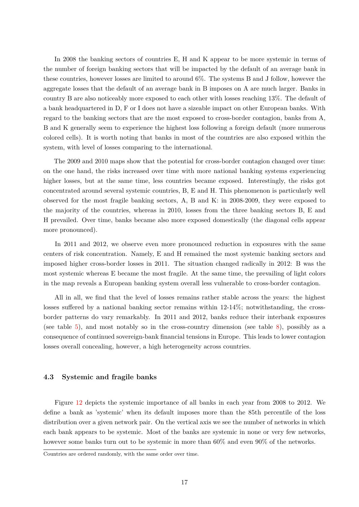In 2008 the banking sectors of countries E, H and K appear to be more systemic in terms of the number of foreign banking sectors that will be impacted by the default of an average bank in these countries, however losses are limited to around 6%. The systems B and J follow, however the aggregate losses that the default of an average bank in B imposes on A are much larger. Banks in country B are also noticeably more exposed to each other with losses reaching 13%. The default of a bank headquartered in D, F or I does not have a sizeable impact on other European banks. With regard to the banking sectors that are the most exposed to cross-border contagion, banks from A, B and K generally seem to experience the highest loss following a foreign default (more numerous colored cells). It is worth noting that banks in most of the countries are also exposed within the system, with level of losses comparing to the international.

The 2009 and 2010 maps show that the potential for cross-border contagion changed over time: on the one hand, the risks increased over time with more national banking systems experiencing higher losses, but at the same time, less countries became exposed. Interestingly, the risks got concentrated around several systemic countries, B, E and H. This phenomenon is particularly well observed for the most fragile banking sectors, A, B and K: in 2008-2009, they were exposed to the majority of the countries, whereas in 2010, losses from the three banking sectors B, E and H prevailed. Over time, banks became also more exposed domestically (the diagonal cells appear more pronounced).

In 2011 and 2012, we observe even more pronounced reduction in exposures with the same centers of risk concentration. Namely, E and H remained the most systemic banking sectors and imposed higher cross-border losses in 2011. The situation changed radically in 2012: B was the most systemic whereas E became the most fragile. At the same time, the prevailing of light colors in the map reveals a European banking system overall less vulnerable to cross-border contagion.

All in all, we find that the level of losses remains rather stable across the years: the highest losses suffered by a national banking sector remains within 12-14%; notwithstanding, the crossborder patterns do vary remarkably. In 2011 and 2012, banks reduce their interbank exposures (see table [5\)](#page-33-0), and most notably so in the cross-country dimension (see table [8\)](#page-36-0), possibly as a consequence of continued sovereign-bank financial tensions in Europe. This leads to lower contagion losses overall concealing, however, a high heterogeneity across countries.

#### **4.3 Systemic and fragile banks**

Figure [12](#page-45-0) depicts the systemic importance of all banks in each year from 2008 to 2012. We define a bank as 'systemic' when its default imposes more than the 85th percentile of the loss distribution over a given network pair. On the vertical axis we see the number of networks in which each bank appears to be systemic. Most of the banks are systemic in none or very few networks, however some banks turn out to be systemic in more than 60% and even 90% of the networks.

Countries are ordered randomly, with the same order over time.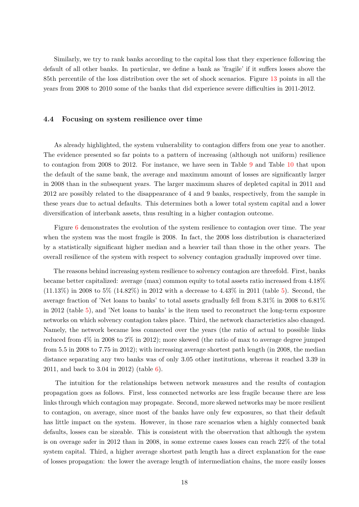Similarly, we try to rank banks according to the capital loss that they experience following the default of all other banks. In particular, we define a bank as 'fragile' if it suffers losses above the 85th percentile of the loss distribution over the set of shock scenarios. Figure [13](#page-45-0) points in all the years from 2008 to 2010 some of the banks that did experience severe difficulties in 2011-2012.

#### **4.4 Focusing on system resilience over time**

As already highlighted, the system vulnerability to contagion differs from one year to another. The evidence presented so far points to a pattern of increasing (although not uniform) resilience to contagion from 2008 to 2012. For instance, we have seen in Table [9](#page-37-0) and Table [10](#page-38-0) that upon the default of the same bank, the average and maximum amount of losses are significantly larger in 2008 than in the subsequent years. The larger maximum shares of depleted capital in 2011 and 2012 are possibly related to the disappearance of 4 and 9 banks, respectively, from the sample in these years due to actual defaults. This determines both a lower total system capital and a lower diversification of interbank assets, thus resulting in a higher contagion outcome.

Figure [6](#page-41-0) demonstrates the evolution of the system resilience to contagion over time. The year when the system was the most fragile is 2008. In fact, the 2008 loss distribution is characterized by a statistically significant higher median and a heavier tail than those in the other years. The overall resilience of the system with respect to solvency contagion gradually improved over time.

The reasons behind increasing system resilience to solvency contagion are threefold. First, banks became better capitalized: average (max) common equity to total assets ratio increased from 4.18% (11.13%) in 2008 to 5% (14.82%) in 2012 with a decrease to 4.43% in 2011 (table [5\)](#page-33-0). Second, the average fraction of 'Net loans to banks' to total assets gradually fell from 8.31% in 2008 to 6.81% in 2012 (table [5\)](#page-33-0), and 'Net loans to banks' is the item used to reconstruct the long-term exposure networks on which solvency contagion takes place. Third, the network characteristics also changed. Namely, the network became less connected over the years (the ratio of actual to possible links reduced from 4% in 2008 to 2% in 2012); more skewed (the ratio of max to average degree jumped from 5.5 in 2008 to 7.75 in 2012); with increasing average shortest path length (in 2008, the median distance separating any two banks was of only 3.05 other institutions, whereas it reached 3.39 in 2011, and back to 3.04 in 2012) (table [6\)](#page-34-0).

The intuition for the relationships between network measures and the results of contagion propagation goes as follows. First, less connected networks are less fragile because there are less links through which contagion may propagate. Second, more skewed networks may be more resilient to contagion, on average, since most of the banks have only few exposures, so that their default has little impact on the system. However, in those rare scenarios when a highly connected bank defaults, losses can be sizeable. This is consistent with the observation that although the system is on overage safer in 2012 than in 2008, in some extreme cases losses can reach 22% of the total system capital. Third, a higher average shortest path length has a direct explanation for the ease of losses propagation: the lower the average length of intermediation chains, the more easily losses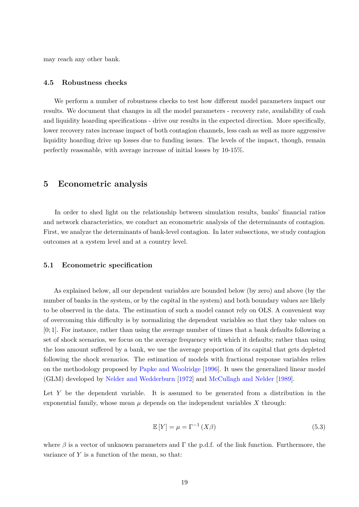may reach any other bank.

#### **4.5 Robustness checks**

We perform a number of robustness checks to test how different model parameters impact our results. We document that changes in all the model parameters - recovery rate, availability of cash and liquidity hoarding specifications - drive our results in the expected direction. More specifically, lower recovery rates increase impact of both contagion channels, less cash as well as more aggressive liquidity hoarding drive up losses due to funding issues. The levels of the impact, though, remain perfectly reasonable, with average increase of initial losses by 10-15%.

## **5 Econometric analysis**

In order to shed light on the relationship between simulation results, banks' financial ratios and network characteristics, we conduct an econometric analysis of the determinants of contagion. First, we analyze the determinants of bank-level contagion. In later subsections, we study contagion outcomes at a system level and at a country level.

#### **5.1 Econometric specification**

As explained below, all our dependent variables are bounded below (by zero) and above (by the number of banks in the system, or by the capital in the system) and both boundary values are likely to be observed in the data. The estimation of such a model cannot rely on OLS. A convenient way of overcoming this difficulty is by normalizing the dependent variables so that they take values on [0; 1]. For instance, rather than using the average number of times that a bank defaults following a set of shock scenarios, we focus on the average frequency with which it defaults; rather than using the loss amount suffered by a bank, we use the average proportion of its capital that gets depleted following the shock scenarios. The estimation of models with fractional response variables relies on the methodology proposed by [Papke and Woolridge](#page-26-12) [\[1996\]](#page-26-12). It uses the generalized linear model (GLM) developed by [Nelder and Wedderburn](#page-26-13) [\[1972\]](#page-26-13) and [McCullagh and Nelder](#page-26-14) [\[1989\]](#page-26-14).

Let Y be the dependent variable. It is assumed to be generated from a distribution in the exponential family, whose mean  $\mu$  depends on the independent variables  $X$  through:

$$
\mathbb{E}\left[Y\right] = \mu = \Gamma^{-1}\left(X\beta\right) \tag{5.3}
$$

where  $\beta$  is a vector of unknown parameters and  $\Gamma$  the p.d.f. of the link function. Furthermore, the variance of *Y* is a function of the mean, so that: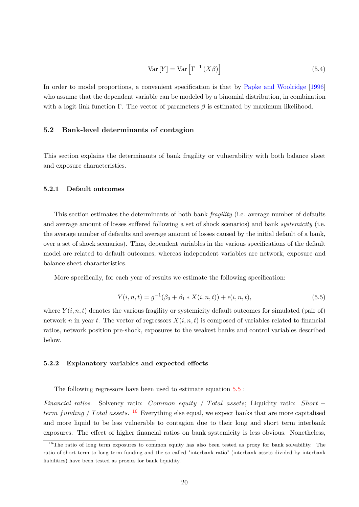$$
Var[Y] = Var\left[\Gamma^{-1}\left(X\beta\right)\right]
$$
\n(5.4)

In order to model proportions, a convenient specification is that by [Papke and Woolridge](#page-26-12) [\[1996\]](#page-26-12) who assume that the dependent variable can be modeled by a binomial distribution, in combination with a logit link function Γ. The vector of parameters  $\beta$  is estimated by maximum likelihood.

#### **5.2 Bank-level determinants of contagion**

This section explains the determinants of bank fragility or vulnerability with both balance sheet and exposure characteristics.

#### **5.2.1 Default outcomes**

This section estimates the determinants of both bank *fragility* (i.e. average number of defaults and average amount of losses suffered following a set of shock scenarios) and bank *systemicity* (i.e. the average number of defaults and average amount of losses caused by the initial default of a bank, over a set of shock scenarios). Thus, dependent variables in the various specifications of the default model are related to default outcomes, whereas independent variables are network, exposure and balance sheet characteristics.

More specifically, for each year of results we estimate the following specification:

<span id="page-21-0"></span>
$$
Y(i, n, t) = g^{-1}(\beta_0 + \beta_1 * X(i, n, t)) + \epsilon(i, n, t),
$$
\n(5.5)

where  $Y(i, n, t)$  denotes the various fragility or systemicity default outcomes for simulated (pair of) network *n* in year *t*. The vector of regressors  $X(i, n, t)$  is composed of variables related to financial ratios, network position pre-shock, exposures to the weakest banks and control variables described below.

#### **5.2.2 Explanatory variables and expected effects**

The following regressors have been used to estimate equation [5.5](#page-21-0) :

*Financial ratios*. Solvency ratio: *Common equity* / *T otal assets*; Liquidity ratio: *Short* − *term funding* / *Total assets*. <sup>[16](#page-21-1)</sup> Everything else equal, we expect banks that are more capitalised and more liquid to be less vulnerable to contagion due to their long and short term interbank exposures. The effect of higher financial ratios on bank systemicity is less obvious. Nonetheless,

<span id="page-21-1"></span><sup>&</sup>lt;sup>16</sup>The ratio of long term exposures to common equity has also been tested as proxy for bank solvability. The ratio of short term to long term funding and the so called "interbank ratio" (interbank assets divided by interbank liabilities) have been tested as proxies for bank liquidity.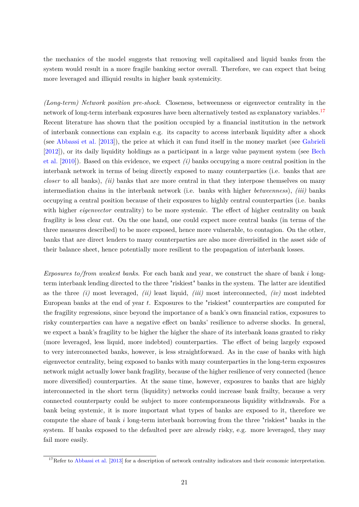the mechanics of the model suggests that removing well capitalised and liquid banks from the system would result in a more fragile banking sector overall. Therefore, we can expect that being more leveraged and illiquid results in higher bank systemicity.

*(Long-term) Network position pre-shock*. Closeness, betweenness or eigenvector centrality in the network of long-term interbank exposures have been alternatively tested as explanatory variables.<sup>[17](#page-22-0)</sup> Recent literature has shown that the position occupied by a financial institution in the network of interbank connections can explain e.g. its capacity to access interbank liquidity after a shock (see [Abbassi et al.](#page-25-15) [\[2013\]](#page-25-15)), the price at which it can fund itself in the money market (see [Gabrieli](#page-26-15) [\[2012\]](#page-26-15)), or its daily liquidity holdings as a participant in a large value payment system (see [Bech](#page-25-16) [et al.](#page-25-16) [\[2010\]](#page-25-16)). Based on this evidence, we expect *(i)* banks occupying a more central position in the interbank network in terms of being directly exposed to many counterparties (i.e. banks that are *closer* to all banks), *(ii)* banks that are more central in that they interpose themselves on many intermediation chains in the interbank network (i.e. banks with higher *betweenness*), *(iii)* banks occupying a central position because of their exposures to highly central counterparties (i.e. banks with higher *eigenvector* centrality) to be more systemic. The effect of higher centrality on bank fragility is less clear cut. On the one hand, one could expect more central banks (in terms of the three measures described) to be more exposed, hence more vulnerable, to contagion. On the other, banks that are direct lenders to many counterparties are also more diverisified in the asset side of their balance sheet, hence potentially more resilient to the propagation of interbank losses.

*Exposures to/from weakest banks*. For each bank and year, we construct the share of bank *i* longterm interbank lending directed to the three "riskiest" banks in the system. The latter are identified as the three *(i)* most leveraged, *(ii)* least liquid, *(iii)* most interconnected, *(iv)* most indebted European banks at the end of year *t*. Exposures to the "riskiest" counterparties are computed for the fragility regressions, since beyond the importance of a bank's own financial ratios, exposures to risky counterparties can have a negative effect on banks' resilience to adverse shocks. In general, we expect a bank's fragility to be higher the higher the share of its interbank loans granted to risky (more leveraged, less liquid, more indebted) counterparties. The effect of being largely exposed to very interconnected banks, however, is less straightforward. As in the case of banks with high eigenvector centrality, being exposed to banks with many counterparties in the long-term exposures network might actually lower bank fragility, because of the higher resilience of very connected (hence more diversified) counterparties. At the same time, however, exposures to banks that are highly interconnected in the short term (liquidity) networks could increase bank frailty, because a very connected counterparty could be subject to more contemporaneous liquidity withdrawals. For a bank being systemic, it is more important what types of banks are exposed to it, therefore we compute the share of bank *i* long-term interbank borrowing from the three "riskiest" banks in the system. If banks exposed to the defaulted peer are already risky, e.g. more leveraged, they may fail more easily.

<span id="page-22-0"></span> $17$ Refer to [Abbassi et al.](#page-25-15) [\[2013\]](#page-25-15) for a description of network centrality indicators and their economic interpretation.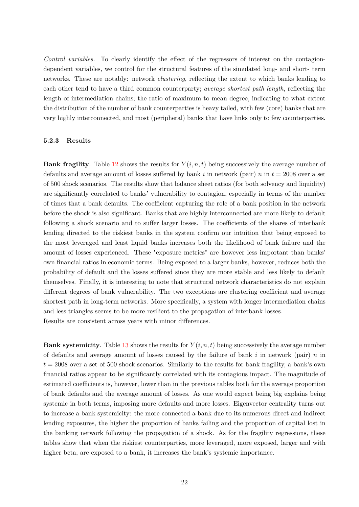*Control variables.* To clearly identify the effect of the regressors of interest on the contagiondependent variables, we control for the structural features of the simulated long- and short- term networks. These are notably: network *clustering*, reflecting the extent to which banks lending to each other tend to have a third common counterparty; *average shortest path length*, reflecting the length of intermediation chains; the ratio of maximum to mean degree, indicating to what extent the distribution of the number of bank counterparties is heavy tailed, with few (core) banks that are very highly interconnected, and most (peripheral) banks that have links only to few counterparties.

#### **5.2.3 Results**

**Bank fragility**. Table [12](#page-46-0) shows the results for  $Y(i, n, t)$  being successively the average number of defaults and average amount of losses suffered by bank *i* in network (pair) *n* in *t* = 2008 over a set of 500 shock scenarios. The results show that balance sheet ratios (for both solvency and liquidity) are significantly correlated to banks' vulnerability to contagion, especially in terms of the number of times that a bank defaults. The coefficient capturing the role of a bank position in the network before the shock is also significant. Banks that are highly interconnected are more likely to default following a shock scenario and to suffer larger losses. The coefficients of the shares of interbank lending directed to the riskiest banks in the system confirm our intuition that being exposed to the most leveraged and least liquid banks increases both the likelihood of bank failure and the amount of losses experienced. These "exposure metrics" are however less important than banks' own financial ratios in economic terms. Being exposed to a larger banks, however, reduces both the probability of default and the losses suffered since they are more stable and less likely to default themselves. Finally, it is interesting to note that structural network characteristics do not explain different degrees of bank vulnerability. The two exceptions are clustering coefficient and average shortest path in long-term networks. More specifically, a system with longer intermediation chains and less triangles seems to be more resilient to the propagation of interbank losses. Results are consistent across years with minor differences.

**Bank systemicity**. Table  $13$  shows the results for  $Y(i, n, t)$  being successively the average number of defaults and average amount of losses caused by the failure of bank *i* in network (pair) *n* in  $t = 2008$  over a set of 500 shock scenarios. Similarly to the results for bank fragility, a bank's own financial ratios appear to be significantly correlated with its contagious impact. The magnitude of estimated coefficients is, however, lower than in the previous tables both for the average proportion of bank defaults and the average amount of losses. As one would expect being big explains being systemic in both terms, imposing more defaults and more losses. Eigenvector centrality turns out to increase a bank systemicity: the more connected a bank due to its numerous direct and indirect lending exposures, the higher the proportion of banks failing and the proportion of capital lost in the banking network following the propagation of a shock. As for the fragility regressions, these tables show that when the riskiest counterparties, more leveraged, more exposed, larger and with higher beta, are exposed to a bank, it increases the bank's systemic importance.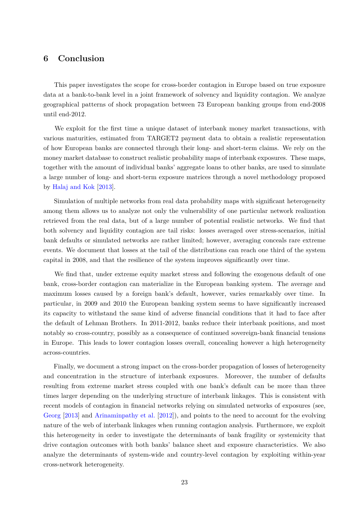## **6 Conclusion**

This paper investigates the scope for cross-border contagion in Europe based on true exposure data at a bank-to-bank level in a joint framework of solvency and liquidity contagion. We analyze geographical patterns of shock propagation between 73 European banking groups from end-2008 until end-2012.

We exploit for the first time a unique dataset of interbank money market transactions, with various maturities, estimated from TARGET2 payment data to obtain a realistic representation of how European banks are connected through their long- and short-term claims. We rely on the money market database to construct realistic probability maps of interbank exposures. These maps, together with the amount of individual banks' aggregate loans to other banks, are used to simulate a large number of long- and short-term exposure matrices through a novel methodology proposed by [Halaj and Kok](#page-26-1) [\[2013\]](#page-26-1).

Simulation of multiple networks from real data probability maps with significant heterogeneity among them allows us to analyze not only the vulnerability of one particular network realization retrieved from the real data, but of a large number of potential realistic networks. We find that both solvency and liquidity contagion are tail risks: losses averaged over stress-scenarios, initial bank defaults or simulated networks are rather limited; however, averaging conceals rare extreme events. We document that losses at the tail of the distributions can reach one third of the system capital in 2008, and that the resilience of the system improves significantly over time.

We find that, under extreme equity market stress and following the exogenous default of one bank, cross-border contagion can materialize in the European banking system. The average and maximum losses caused by a foreign bank's default, however, varies remarkably over time. In particular, in 2009 and 2010 the European banking system seems to have significantly increased its capacity to withstand the same kind of adverse financial conditions that it had to face after the default of Lehman Brothers. In 2011-2012, banks reduce their interbank positions, and most notably so cross-country, possibly as a consequence of continued sovereign-bank financial tensions in Europe. This leads to lower contagion losses overall, concealing however a high heterogeneity across-countries.

Finally, we document a strong impact on the cross-border propagation of losses of heterogeneity and concentration in the structure of interbank exposures. Moreover, the number of defaults resulting from extreme market stress coupled with one bank's default can be more than three times larger depending on the underlying structure of interbank linkages. This is consistent with recent models of contagion in financial networks relying on simulated networks of exposures (see, [Georg](#page-26-3) [\[2013\]](#page-26-3) and [Arinaminpathy et al.](#page-25-14) [\[2012\]](#page-25-14)), and points to the need to account for the evolving nature of the web of interbank linkages when running contagion analysis. Furthermore, we exploit this heterogeneity in order to investigate the determinants of bank fragility or systemicity that drive contagion outcomes with both banks' balance sheet and exposure characteristics. We also analyze the determinants of system-wide and country-level contagion by exploiting within-year cross-network heterogeneity.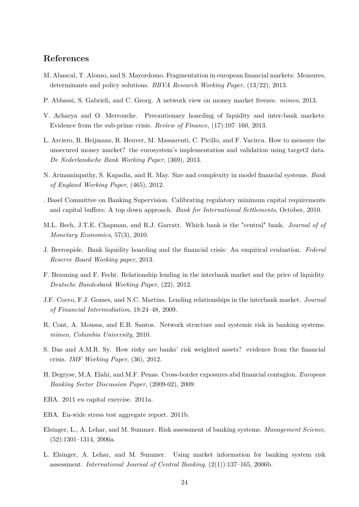## **References**

- <span id="page-25-1"></span>M. Abascal, T. Alonso, and S. Mayordomo. Fragmentation in european financial markets: Measures, determinants and policy solutions. *BBVA Research Working Paper*, (13/22), 2013.
- <span id="page-25-15"></span>P. Abbassi, S. Gabrieli, and C. Georg. A network view on money market freezes. *mimeo*, 2013.
- <span id="page-25-7"></span>V. Acharya and O. Merrouche. Precautionary hoarding of liquidity and inter-bank markets: Evidence from the sub-prime crisis. *Review of Finance*, (17):107–160, 2013.
- <span id="page-25-2"></span>L. Arciero, R. Heijmans, R. Heuver, M. Massarenti, C. Picillo, and F. Vacirca. How to measure the unsecured money market? the eurosystem's implementation and validation using target2 data. *De Nederlandsche Bank Working Paper*, (369), 2013.
- <span id="page-25-14"></span>N. Arinaminpathy, S. Kapadia, and R. May. Size and complexity in model financial systems. *Bank of England Working Paper*, (465), 2012.
- <span id="page-25-6"></span>. Basel Committee on Banking Supervision. Calibrating regulatory minimum capital requirements and capital buffers: A top down approach. *Bank for International Settlements*, October, 2010.
- <span id="page-25-16"></span>M.L. Bech, J.T.E. Chapman, and R.J. Garratt. Which bank is the "central" bank. *Journal of of Monetary Economics*, 57(3), 2010.
- <span id="page-25-8"></span>J. Berrospide. Bank liquidity hoarding and the financial crisis: An empirical evaluation. *Federal Reserve Board Working paper*, 2013.
- <span id="page-25-13"></span>F. Brauning and F. Fecht. Relationship lending in the interbank market and the price of liquidity. *Deutsche Bundesbank Working Paper*, (22), 2012.
- <span id="page-25-12"></span>J.F. Cocco, F.J. Gomes, and N.C. Martins. Lending relationships in the interbank market. *Journal of Financial Intermediation*, 18:24–48, 2009.
- <span id="page-25-11"></span>R. Cont, A. Moussa, and E.B. Santos. Network structure and systemic risk in banking systems. *mimeo, Columbia University*, 2010.
- <span id="page-25-9"></span>S. Das and A.M.R. Sy. How risky are banks' risk weighted assets? evidence from the financial crisis. *IMF Working Paper*, (36), 2012.
- <span id="page-25-3"></span>H. Degryse, M.A. Elahi, and M.F. Penas. Cross-border exposures abd financial contagion. *European Banking Sector Discussion Paper*, (2009-02), 2009.
- <span id="page-25-0"></span>EBA. 2011 eu capital exercise. 2011a.
- <span id="page-25-10"></span>EBA. Eu-wide stress test aggregate report. 2011b.
- <span id="page-25-4"></span>Elsinger, L., A. Lehar, and M. Summer. Risk assessment of banking systems. *Management Science*, (52):1301–1314, 2006a.
- <span id="page-25-5"></span>L. Elsinger, A. Lehar, and M. Summer. Using market information for banking system risk assessment. *International Journal of Central Banking*, (2(1)):137–165, 2006b.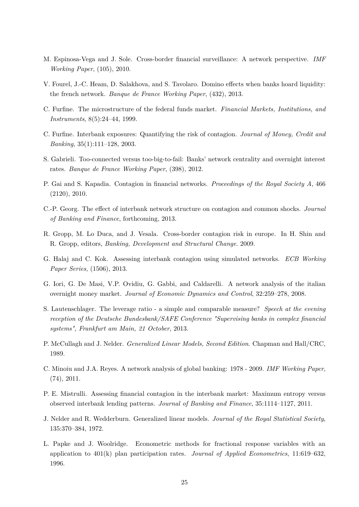- <span id="page-26-6"></span>M. Espinosa-Vega and J. Sole. Cross-border financial surveillance: A network perspective. *IMF Working Paper*, (105), 2010.
- <span id="page-26-0"></span>V. Fourel, J.-C. Heam, D. Salakhova, and S. Tavolaro. Domino effects when banks hoard liquidity: the french network. *Banque de France Working Paper*, (432), 2013.
- <span id="page-26-10"></span>C. Furfine. The microstructure of the federal funds market. *Financial Markets, Institutions, and Instruments*, 8(5):24–44, 1999.
- <span id="page-26-7"></span>C. Furfine. Interbank exposures: Quantifying the risk of contagion. *Journal of Money, Credit and Banking*, 35(1):111–128, 2003.
- <span id="page-26-15"></span>S. Gabrieli. Too-connected versus too-big-to-fail: Banks' network centrality and overnight interest rates. *Banque de France Working Paper*, (398), 2012.
- <span id="page-26-4"></span>P. Gai and S. Kapadia. Contagion in financial networks. *Proceedings of the Royal Society A*, 466 (2120), 2010.
- <span id="page-26-3"></span>C.-P. Georg. The effect of interbank network structure on contagion and common shocks. *Journal of Banking and Finance*, forthcoming, 2013.
- <span id="page-26-5"></span>R. Gropp, M. Lo Duca, and J. Vesala. Cross-border contagion risk in europe. In H. Shin and R. Gropp, editors, *Banking, Development and Structural Change*. 2009.
- <span id="page-26-1"></span>G. Halaj and C. Kok. Assessing interbank contagion using simulated networks. *ECB Working Paper Series*, (1506), 2013.
- <span id="page-26-11"></span>G. Iori, G. De Masi, V.P. Ovidiu, G. Gabbi, and Caldarelli. A network analysis of the italian overnight money market. *Journal of Economic Dynamics and Control*, 32:259–278, 2008.
- <span id="page-26-8"></span>S. Lautenschlager. The leverage ratio - a simple and comparable measure? *Speech at the evening reception of the Deutsche Bundesbank/SAFE Conference "Supervising banks in complex financial systems", Frankfurt am Main, 21 October*, 2013.
- <span id="page-26-14"></span>P. McCullagh and J. Nelder. *Generalized Linear Models, Second Edition*. Chapman and Hall/CRC, 1989.
- <span id="page-26-2"></span>C. Minoiu and J.A. Reyes. A network analysis of global banking: 1978 - 2009. *IMF Working Paper*, (74), 2011.
- <span id="page-26-9"></span>P. E. Mistrulli. Assessing financial contagion in the interbank market: Maximum entropy versus observed interbank lending patterns. *Journal of Banking and Finance*, 35:1114–1127, 2011.
- <span id="page-26-13"></span>J. Nelder and R. Wedderburn. Generalized linear models. *Journal of the Royal Statistical Society*, 135:370–384, 1972.
- <span id="page-26-12"></span>L. Papke and J. Woolridge. Econometric methods for fractional response variables with an application to 401(k) plan participation rates. *Journal of Applied Econometrics*, 11:619–632, 1996.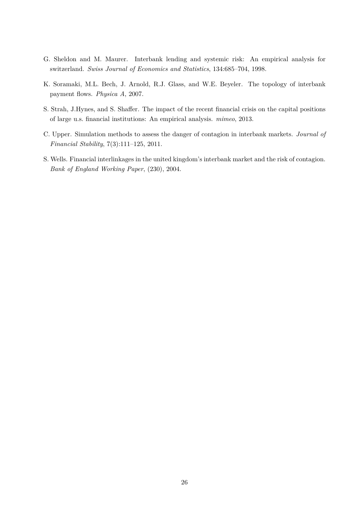- <span id="page-27-2"></span>G. Sheldon and M. Maurer. Interbank lending and systemic risk: An empirical analysis for switzerland. *Swiss Journal of Economics and Statistics*, 134:685–704, 1998.
- <span id="page-27-4"></span>K. Soramaki, M.L. Bech, J. Arnold, R.J. Glass, and W.E. Beyeler. The topology of interbank payment flows. *Physica A*, 2007.
- <span id="page-27-1"></span>S. Strah, J.Hynes, and S. Shaffer. The impact of the recent financial crisis on the capital positions of large u.s. financial institutions: An empirical analysis. *mimeo*, 2013.
- <span id="page-27-0"></span>C. Upper. Simulation methods to assess the danger of contagion in interbank markets. *Journal of Financial Stability*, 7(3):111–125, 2011.
- <span id="page-27-3"></span>S. Wells. Financial interlinkages in the united kingdom's interbank market and the risk of contagion. *Bank of England Working Paper*, (230), 2004.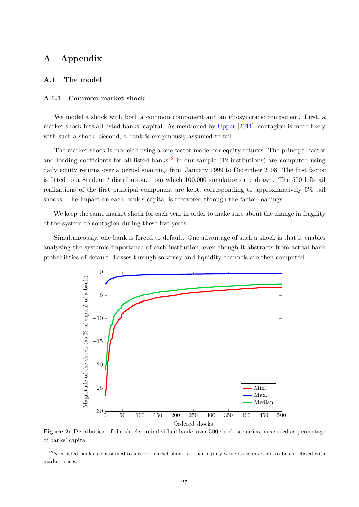## **A Appendix**

### <span id="page-28-0"></span>**A.1 The model**

#### **A.1.1 Common market shock**

We model a shock with both a common component and an idiosyncratic component. First, a market shock hits all listed banks' capital. As mentioned by [Upper](#page-27-0) [\[2011\]](#page-27-0), contagion is more likely with such a shock. Second, a bank is exogenously assumed to fail.

The market shock is modeled using a one-factor model for equity returns. The principal factor and loading coefficients for all listed banks<sup>[18](#page-28-2)</sup> in our sample  $(42$  institutions) are computed using daily equity returns over a period spanning from January 1999 to December 2008. The first factor is fitted to a Student *t* distribution, from which 100,000 simulations are drawn. The 500 left-tail realizations of the first principal component are kept, corresponding to approximatively 5% tail shocks. The impact on each bank's capital is recovered through the factor loadings.

We keep the same market shock for each year in order to make sure about the change in fragility of the system to contagion during these five years.

<span id="page-28-1"></span>Simultaneously, one bank is forced to default. One advantage of such a shock is that it enables analyzing the systemic importance of each institution, even though it abstracts from actual bank probabilities of default. Losses through solvency and liquidity channels are then computed.



**Figure 2:** Distribution of the shocks to individual banks over 500 shock scenarios, measured as percentage of banks' capital

<span id="page-28-2"></span> $18$ Non-listed banks are assumed to face no market shock, as their equity value is assumed not to be correlated with market prices.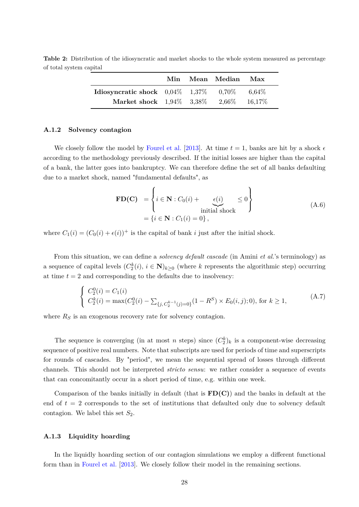|                                                   |  | Min Mean Median | Max    |
|---------------------------------------------------|--|-----------------|--------|
| <b>Idiosyncratic shock</b> $0.04\%$ 1.37\% 0.70\% |  |                 | 6.64\% |
| Market shock $1.94\%$ $3.38\%$ $2.66\%$ $16.17\%$ |  |                 |        |

**Table 2:** Distribution of the idiosyncratic and market shocks to the whole system measured as percentage of total system capital

#### **A.1.2 Solvency contagion**

We closely follow the model by [Fourel et al.](#page-26-0) [\[2013\]](#page-26-0). At time  $t = 1$ , banks are hit by a shock  $\epsilon$ according to the methodology previously described. If the initial losses are higher than the capital of a bank, the latter goes into bankruptcy. We can therefore define the set of all banks defaulting due to a market shock, named "fundamental defaults", as

$$
\mathbf{FD(C)} = \left\{ i \in \mathbf{N} : C_0(i) + \underbrace{\epsilon(i)}_{\text{initial shock}} \le 0 \right\}
$$
\n
$$
= \left\{ i \in \mathbf{N} : C_1(i) = 0 \right\},
$$
\n(A.6)

where  $C_1(i) = (C_0(i) + \epsilon(i))^+$  is the capital of bank *i* just after the initial shock.

From this situation, we can define a *solvency default cascade* (in Amini *et al.*'s terminology) as a sequence of capital levels  $(C_2^k(i), i \in \mathbb{N})_{k \geq 0}$  (where *k* represents the algorithmic step) occurring at time  $t = 2$  and corresponding to the defaults due to insolvency:

$$
\begin{cases}\nC_2^0(i) = C_1(i) \\
C_2^k(i) = \max(C_2^0(i) - \sum_{\{j, C_2^{k-1}(j) = 0\}} (1 - R^S) \times E_0(i, j); 0), \text{ for } k \ge 1,\n\end{cases}
$$
\n(A.7)

where  $R_S$  is an exogenous recovery rate for solvency contagion.

The sequence is converging (in at most *n* steps) since  $(C_2^k)_k$  is a component-wise decreasing sequence of positive real numbers. Note that subscripts are used for periods of time and superscripts for rounds of cascades. By "period", we mean the sequential spread of losses through different channels. This should not be interpreted *stricto sensu*: we rather consider a sequence of events that can concomitantly occur in a short period of time, e.g. within one week.

Comparison of the banks initially in default (that is **FD(C)**) and the banks in default at the end of  $t = 2$  corresponds to the set of institutions that defaulted only due to solvency default contagion. We label this set  $S_2$ .

#### **A.1.3 Liquidity hoarding**

In the liquidly hoarding section of our contagion simulations we employ a different functional form than in [Fourel et al.](#page-26-0) [\[2013\]](#page-26-0). We closely follow their model in the remaining sections.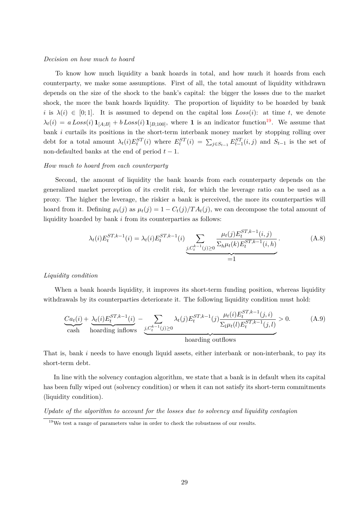#### *Decision on how much to hoard*

To know how much liquidity a bank hoards in total, and how much it hoards from each counterparty, we make some assumptions. First of all, the total amount of liquidity withdrawn depends on the size of the shock to the bank's capital: the bigger the losses due to the market shock, the more the bank hoards liquidity. The proportion of liquidity to be hoarded by bank *i* is  $\lambda(i) \in [0,1]$ . It is assumed to depend on the capital loss  $Loss(i)$ : at time *t*, we denote  $\lambda_t(i) = a \text{Loss}(i) \mathbf{1}_{[A;B]} + b \text{Loss}(i) \mathbf{1}_{[B;100]}$ , where **1** is an indicator function<sup>[19](#page-30-0)</sup>. We assume that bank *i* curtails its positions in the short-term interbank money market by stopping rolling over debt for a total amount  $\lambda_t(i) E_t^{ST}(i)$  where  $E_t^{ST}(i) = \sum_{j \in S_{t-1}} E_{t-1}^{ST}(i,j)$  and  $S_{t-1}$  is the set of non-defaulted banks at the end of period  $t - 1$ .

#### *How much to hoard from each counterparty*

Second, the amount of liquidity the bank hoards from each counterparty depends on the generalized market perception of its credit risk, for which the leverage ratio can be used as a proxy. The higher the leverage, the riskier a bank is perceived, the more its counterparties will hoard from it. Defining  $\mu_t(j)$  as  $\mu_t(j) = 1 - C_t(j)/TA_t(j)$ , we can decompose the total amount of liquidity hoarded by bank *i* from its counterparties as follows:

$$
\lambda_t(i) E_t^{ST,k-1}(i) = \lambda_t(i) E_t^{ST,k-1}(i) \sum_{\substack{j, C_t^{k-1}(j) \ge 0}} \frac{\mu_t(j) E_t^{ST,k-1}(i,j)}{\Sigma_h \mu_t(k) E_t^{ST,k-1}(i,h)}.
$$
\n(A.8)

#### *Liquidity condition*

When a bank hoards liquidity, it improves its short-term funding position, whereas liquidity withdrawals by its counterparties deteriorate it. The following liquidity condition must hold:

$$
\underbrace{Ca_{t}(i)}_{\text{cash}} + \underbrace{\lambda_{t}(i)E_{t}^{ST,k-1}(i)}_{\text{honding inflows}} - \underbrace{\sum_{j,C_{t}^{k-1}(j)\geq 0} \lambda_{t}(j)E_{t}^{ST,k-1}(j)\frac{\mu_{t}(i)E_{t}^{ST,k-1}(j,i)}{\sum_{l}\mu_{t}(l)E_{t}^{ST,k-1}(j,l)}}_{\text{honding outflows}} > 0.
$$
 (A.9)

That is, bank *i* needs to have enough liquid assets, either interbank or non-interbank, to pay its short-term debt.

In line with the solvency contagion algorithm, we state that a bank is in default when its capital has been fully wiped out (solvency condition) or when it can not satisfy its short-term commitments (liquidity condition).

*Update of the algorithm to account for the losses due to solvency and liquidity contagion*

<span id="page-30-0"></span> $19W$ e test a range of parameters value in order to check the robustness of our results.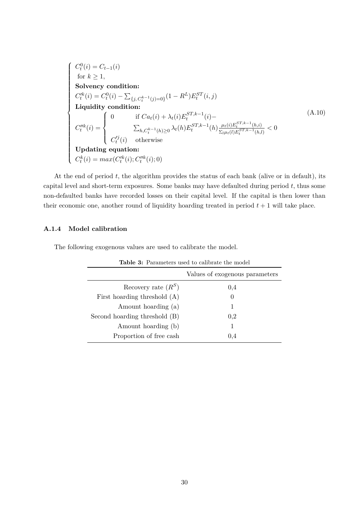$$
\begin{cases}\nC_t^0(i) = C_{t-1}(i) \\
\text{for } k \ge 1, \\
C_t'^k(i) = C_t^0(i) - \sum_{\{j, C_t^{k-1}(j) = 0\}} (1 - R^L) E_t^{ST}(i, j) \\
\text{Liquidity condition:} \\
C_t''^k(i) = \begin{cases}\n0 & \text{if } C a_t(i) + \lambda_t(i) E_t^{ST, k-1}(i) - \\
0 & \sum_{h, C_t^{k-1}(h) \ge 0} \lambda_t(h) E_t^{ST, k-1}(h) \frac{\mu_t(i) E_t^{ST, k-1}(h, i)}{\sum_{l} \mu_t(l) E_t^{ST, k-1}(h, l)} < 0 \\
C_t'^j(i) & \text{otherwise}\n\end{cases}\n\end{cases} \tag{A.10}
$$
\n
$$
\text{Updateing equation:}
$$

At the end of period *t*, the algorithm provides the status of each bank (alive or in default), its capital level and short-term exposures. Some banks may have defaulted during period *t*, thus some non-defaulted banks have recorded losses on their capital level. If the capital is then lower than their economic one, another round of liquidity hoarding treated in period  $t + 1$  will take place.

## **A.1.4 Model calibration**

<span id="page-31-0"></span>The following exogenous values are used to calibrate the model.

|                                | Values of exogenous parameters |  |  |  |  |
|--------------------------------|--------------------------------|--|--|--|--|
| Recovery rate $(R^S)$          | 0,4                            |  |  |  |  |
| First hoarding threshold $(A)$ | $\mathbf{0}$                   |  |  |  |  |
| Amount hoarding (a)            |                                |  |  |  |  |
| Second hoarding threshold (B)  | 0,2                            |  |  |  |  |
| Amount hoarding (b)            |                                |  |  |  |  |
| Proportion of free cash        | 0.4                            |  |  |  |  |

**Table 3:** Parameters used to calibrate the model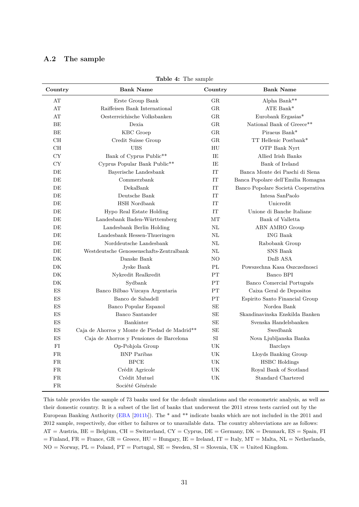#### **A.2 The sample**

l,

<span id="page-32-0"></span>

| Country   | <b>Bank Name</b>                              | Country             | <b>Bank Name</b>                   |
|-----------|-----------------------------------------------|---------------------|------------------------------------|
| AT        | Erste Group Bank                              | <b>GR</b>           | Alpha Bank**                       |
| AT        | Raiffeisen Bank International                 | GR                  | ATE Bank*                          |
| AT        | Oesterreichische Volksbanken                  | GR                  | Eurobank Ergasias*                 |
| BE        | Dexia                                         | <b>GR</b>           | National Bank of Greece**          |
| BE        | KBC Groep                                     | GR.                 | Piraeus Bank*                      |
| CH        | Credit Suisse Group                           | GR                  | TT Hellenic Postbank*              |
| <b>CH</b> | <b>UBS</b>                                    | HU                  | OTP Bank Nyrt                      |
| CY        | Bank of Cyprus Public**                       | IE                  | Allied Irish Banks                 |
| CY        | Cyprus Popular Bank Public**                  | IE                  | Bank of Ireland                    |
| DE        | Bayerische Landesbank                         | IT                  | Banca Monte dei Paschi di Siena    |
| DE        | Commerzbank                                   | IT                  | Banca Popolare dell'Emilia Romagna |
| DE        | DekaBank                                      | IT                  | Banco Popolare Società Cooperativa |
| DE        | Deutsche Bank                                 | IT                  | Intesa SanPaolo                    |
| DE        | <b>HSH</b> Nordbank                           | $\operatorname{IT}$ | Unicredit                          |
| DE        | Hypo Real Estate Holding                      | IT                  | Unione di Banche Italiane          |
| DE        | Landesbank Baden-Württemberg                  | MT                  | Bank of Valletta                   |
| DE        | Landesbank Berlin Holding                     | $\rm NL$            | ABN AMRO Group                     |
| DE        | Landesbank Hessen-Thueringen                  | $\rm NL$            | <b>ING Bank</b>                    |
| DE        | Norddeutsche Landesbank                       | $\rm NL$            | Rabobank Group                     |
| DE        | Westdeutsche Genossenschafts-Zentralbank      | $\rm NL$            | SNS Bank                           |
| DK        | Danske Bank                                   | NO                  | DnB ASA                            |
| DK        | Jyske Bank                                    | PL                  | Powszechna Kasa Oszczednosci       |
| DK        | Nykredit Realkredit                           | PT                  | Banco BPI                          |
| DK        | Sydbank                                       | PT                  | Banco Comercial Português          |
| ES        | Banco Bilbao Vizcaya Argentaria               | PT                  | Caixa Geral de Depositos           |
| ES        | Banco de Sabadell                             | PT                  | Espirito Santo Financial Group     |
| ES        | Banco Popular Espanol                         | <b>SE</b>           | Nordea Bank                        |
| ES        | Banco Santander                               | SE                  | Skandinavinska Enskilda Banken     |
| ES        | Bankinter                                     | <b>SE</b>           | Svenska Handelsbanken              |
| ES        | Caja de Ahorros y Monte de Piedad de Madrid** | SE                  | Swedbank                           |
| ES        | Caja de Ahorros y Pensiones de Barcelona      | <b>SI</b>           | Nova Ljubljanska Banka             |
| FI        | Op-Pohjola Group                              | UK                  | <b>Barclays</b>                    |
| FR        | <b>BNP</b> Paribas                            | UK                  | Lloyds Banking Group               |
| FR        | <b>BPCE</b>                                   | UK                  | <b>HSBC</b> Holdings               |
| FR        | Crédit Agricole                               | UK                  | Royal Bank of Scotland             |
| <b>FR</b> | Crédit Mutuel                                 | UK                  | Standard Chartered                 |
| FR        | Société Générale                              |                     |                                    |

**Table 4:** The sample

This table provides the sample of 73 banks used for the default simulations and the econometric analysis, as well as their domestic country. It is a subset of the list of banks that underwent the 2011 stress tests carried out by the European Banking Authority [\(EBA](#page-25-10) [\[2011b\]](#page-25-10)). The \* and \*\* indicate banks which are not included in the 2011 and 2012 sample, respectively, due either to failures or to unavailable data. The country abbreviations are as follows:  $AT =$  Austria,  $BE =$  Belgium,  $CH =$  Switzerland,  $CY =$  Cyprus,  $DE =$  Germany,  $DK =$  Denmark,  $ES =$  Spain, FI  $=$  Finland, FR  $=$  France, GR  $=$  Greece, HU  $=$  Hungary, IE  $=$  Ireland, IT  $=$  Italy, MT  $=$  Malta, NL  $=$  Netherlands,  $NO = Norway, PL = Poland, PT = Portugal, SE = Sweden, SI = Slovenia, UK = United Kingdom.$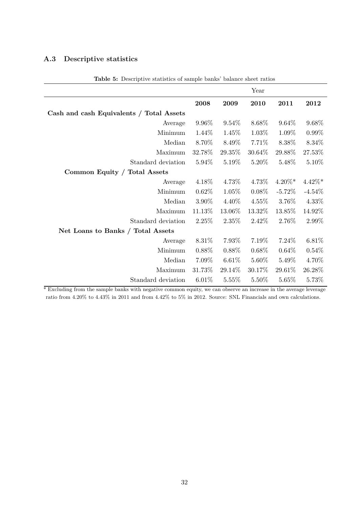## **A.3 Descriptive statistics**

<span id="page-33-0"></span>

|                                          |          |          | Year     |           |           |
|------------------------------------------|----------|----------|----------|-----------|-----------|
|                                          | 2008     | 2009     | 2010     | 2011      | 2012      |
| Cash and cash Equivalents / Total Assets |          |          |          |           |           |
| Average                                  | $9.96\%$ | $9.54\%$ | 8.68%    | 9.64%     | 9.68%     |
| Minimum                                  | 1.44\%   | 1.45\%   | 1.03%    | 1.09%     | $0.99\%$  |
| Median                                   | 8.70%    | 8.49%    | 7.71%    | 8.38%     | 8.34%     |
| Maximum                                  | 32.78%   | 29.35%   | 30.64\%  | 29.88%    | 27.53%    |
| Standard deviation                       | 5.94%    | 5.19%    | 5.20%    | 5.48%     | 5.10%     |
| Common Equity / Total Assets             |          |          |          |           |           |
| Average                                  | 4.18%    | 4.73%    | 4.73%    | $4.20\%*$ | $4.42\%*$ |
| Minimum                                  | $0.62\%$ | 1.05%    | $0.08\%$ | $-5.72\%$ | $-4.54\%$ |
| Median                                   | 3.90%    | 4.40%    | $4.55\%$ | 3.76%     | 4.33%     |
| Maximum                                  | 11.13%   | 13.06%   | 13.32\%  | 13.85%    | 14.92%    |
| Standard deviation                       | 2.25%    | $2.35\%$ | 2.42\%   | 2.76\%    | 2.99%     |
| Net Loans to Banks / Total Assets        |          |          |          |           |           |
| Average                                  | 8.31\%   | 7.93%    | 7.19%    | 7.24\%    | 6.81%     |
| Minimum                                  | 0.88%    | $0.88\%$ | $0.68\%$ | $0.64\%$  | 0.54%     |
| Median                                   | 7.09%    | 6.61%    | 5.60%    | 5.49%     | 4.70%     |
| Maximum                                  | 31.73%   | 29.14%   | 30.17%   | 29.61%    | 26.28%    |
| Standard deviation                       | $6.01\%$ | $5.55\%$ | 5.50%    | 5.65%     | 5.73%     |

|  | Table 5: Descriptive statistics of sample banks' balance sheet ratios |  |  |  |  |  |  |
|--|-----------------------------------------------------------------------|--|--|--|--|--|--|
|--|-----------------------------------------------------------------------|--|--|--|--|--|--|

\* Excluding from the sample banks with negative common equity, we can observe an increase in the average leverage ratio from  $4.20\%$  to  $4.43\%$  in 2011 and from  $4.42\%$  to  $5\%$  in 2012. Source: SNL Financials and own calculations.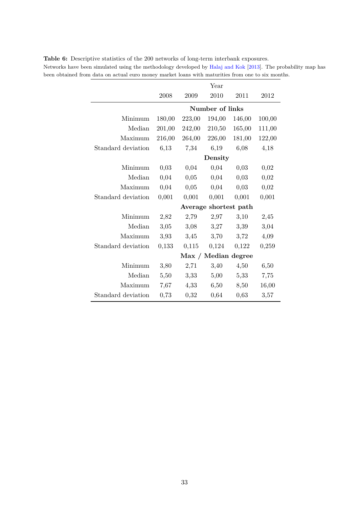|                    |        |        | Year                  |        |        |
|--------------------|--------|--------|-----------------------|--------|--------|
|                    | 2008   | 2009   | 2010                  | 2011   | 2012   |
|                    |        |        | Number of links       |        |        |
| Minimum            | 180,00 | 223,00 | 194,00                | 146,00 | 100,00 |
| Median             | 201,00 | 242,00 | 210,50                | 165,00 | 111,00 |
| Maximum            | 216,00 | 264,00 | 226,00                | 181,00 | 122,00 |
| Standard deviation | 6,13   | 7,34   | 6,19                  | 6,08   | 4,18   |
|                    |        |        | Density               |        |        |
| Minimum            | 0,03   | 0,04   | 0,04                  | 0,03   | 0,02   |
| Median             | 0,04   | 0,05   | 0,04                  | 0,03   | 0,02   |
| Maximum            | 0,04   | 0,05   | 0,04                  | 0,03   | 0,02   |
| Standard deviation | 0,001  | 0,001  | 0,001                 | 0,001  | 0,001  |
|                    |        |        | Average shortest path |        |        |
| Minimum            | 2,82   | 2,79   | 2,97                  | 3,10   | 2,45   |
| Median             | 3,05   | 3,08   | 3,27                  | 3,39   | 3,04   |
| Maximum            | 3,93   | 3,45   | 3,70                  | 3,72   | 4,09   |
| Standard deviation | 0,133  | 0,115  | 0,124                 | 0,122  | 0,259  |
|                    |        |        | Max / Median degree   |        |        |
| Minimum            | 3,80   | 2,71   | 3,40                  | 4,50   | 6,50   |
| Median             | 5,50   | 3,33   | 5,00                  | 5,33   | 7,75   |
| Maximum            | 7,67   | 4,33   | 6,50                  | 8,50   | 16,00  |
| Standard deviation | 0,73   | 0,32   | 0,64                  | 0,63   | 3,57   |

<span id="page-34-0"></span>**Table 6:** Descriptive statistics of the 200 networks of long-term interbank exposures.

Networks have been simulated using the methodology developed by [Halaj and Kok](#page-26-1) [\[2013\]](#page-26-1). The probability map has been obtained from data on actual euro money market loans with maturities from one to six months.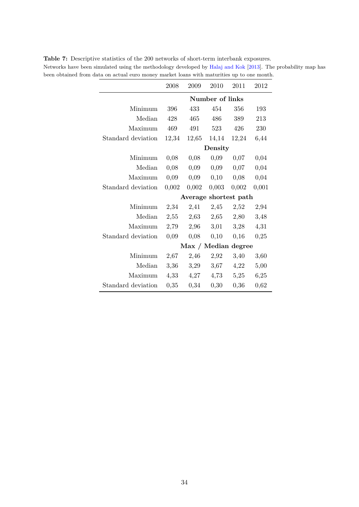| been obtained from data on actual euro money market loans with maturities up to one month. |       |                       |         |       |       |  |
|--------------------------------------------------------------------------------------------|-------|-----------------------|---------|-------|-------|--|
|                                                                                            | 2008  | 2009                  | 2010    | 2011  | 2012  |  |
| Number of links                                                                            |       |                       |         |       |       |  |
| Minimum                                                                                    | 396   | 433                   | 454     | 356   | 193   |  |
| Median                                                                                     | 428   | 465                   | 486     | 389   | 213   |  |
| Maximum                                                                                    | 469   | 491                   | 523     | 426   | 230   |  |
| Standard deviation                                                                         | 12,34 | 12,65                 | 14,14   | 12,24 | 6,44  |  |
|                                                                                            |       |                       | Density |       |       |  |
| Minimum                                                                                    | 0,08  | 0,08                  | 0,09    | 0,07  | 0,04  |  |
| Median                                                                                     | 0,08  | 0,09                  | 0,09    | 0,07  | 0,04  |  |
| Maximum                                                                                    | 0,09  | 0,09                  | 0,10    | 0,08  | 0,04  |  |
| Standard deviation                                                                         | 0,002 | 0,002                 | 0,003   | 0,002 | 0,001 |  |
|                                                                                            |       | Average shortest path |         |       |       |  |
| Minimum                                                                                    | 2,34  | 2,41                  | 2,45    | 2,52  | 2,94  |  |
| Median                                                                                     | 2,55  | 2,63                  | 2,65    | 2,80  | 3,48  |  |
| Maximum                                                                                    | 2,79  | 2,96                  | 3,01    | 3,28  | 4,31  |  |
| Standard deviation                                                                         | 0,09  | 0,08                  | 0,10    | 0,16  | 0,25  |  |
|                                                                                            |       | Max / Median degree   |         |       |       |  |
| Minimum                                                                                    | 2,67  | 2,46                  | 2,92    | 3,40  | 3,60  |  |
| Median                                                                                     | 3,36  | 3,29                  | 3,67    | 4,22  | 5,00  |  |
| Maximum                                                                                    | 4,33  | 4,27                  | 4,73    | 5,25  | 6,25  |  |
| Standard deviation                                                                         | 0,35  | 0,34                  | 0,30    | 0,36  | 0,62  |  |

<span id="page-35-0"></span>**Table 7:** Descriptive statistics of the 200 networks of short-term interbank exposures. Networks have been simulated using the methodology developed by [Halaj and Kok](#page-26-1) [\[2013\]](#page-26-1). The probability map has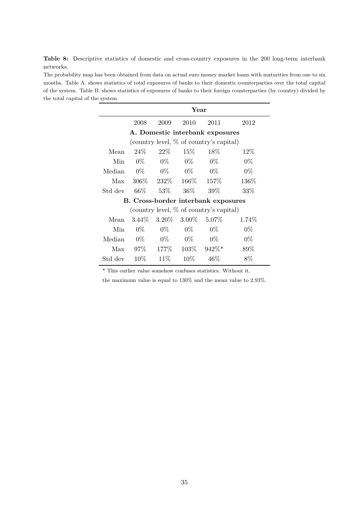<span id="page-36-0"></span>**Table 8:** Descriptive statistics of domestic and cross-country exposures in the 200 long-term interbank networks.

The probability map has been obtained from data on actual euro money market loans with maturities from one to six months. Table A. shows statistics of total exposures of banks to their domestic counterparties over the total capital of the system. Table B. shows statistics of exposures of banks to their foreign counterparties (by country) divided by the total capital of the system. i

|         | Year   |               |          |                                         |       |  |  |  |
|---------|--------|---------------|----------|-----------------------------------------|-------|--|--|--|
|         | 2008   | 2009          | 2010     | 2011                                    | 2012  |  |  |  |
|         |        |               |          | A. Domestic interbank exposures         |       |  |  |  |
|         |        |               |          | (country level, % of country's capital) |       |  |  |  |
| Mean    | 24\%   | $22\%$        | 15\%     | 18\%                                    | 12\%  |  |  |  |
| Min     | $0\%$  | $0\%$         | $0\%$    | $0\%$                                   | $0\%$ |  |  |  |
| Median  | $0\%$  | $0\%$         | $0\%$    | $0\%$                                   | $0\%$ |  |  |  |
| Max     |        | $306\%$ 232\% | 166\%    | 157\%                                   | 136\% |  |  |  |
| Std dev | 66%    | 53\%          | 36\%     | $39\%$                                  | 33\%  |  |  |  |
|         |        |               |          | B. Cross-border interbank exposures     |       |  |  |  |
|         |        |               |          | (country level, % of country's capital) |       |  |  |  |
| Mean    | 3.44\% | $3.20\%$      | $3.00\%$ | 5.07%                                   | 1.74% |  |  |  |
| Min     | $0\%$  | $0\%$         | $0\%$    | $0\%$                                   | $0\%$ |  |  |  |
| Median  | $0\%$  | $0\%$         | $0\%$    | $0\%$                                   | $0\%$ |  |  |  |
| Max     | 97\%   | 177\%         |          | $103\%$ 942\%*                          | 89%   |  |  |  |
| Std dev | 10\%   | 11\%          | 10\%     | 46\%                                    | 8%    |  |  |  |

\* This outlier value somehow confuses statistics. Without it,

the maximum value is equal to 130% and the mean value to 2.93%.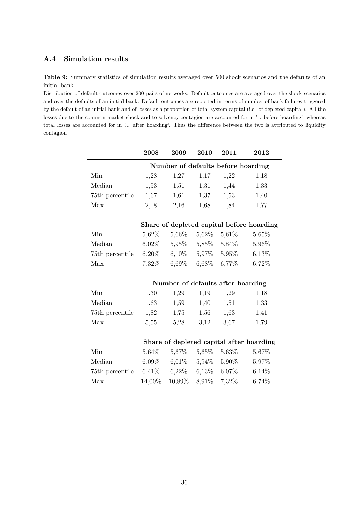## **A.4 Simulation results**

<span id="page-37-0"></span>**Table 9:** Summary statistics of simulation results averaged over 500 shock scenarios and the defaults of an initial bank.

Distribution of default outcomes over 200 pairs of networks. Default outcomes are averaged over the shock scenarios and over the defaults of an initial bank. Default outcomes are reported in terms of number of bank failures triggered by the default of an initial bank and of losses as a proportion of total system capital (i.e. of depleted capital). All the losses due to the common market shock and to solvency contagion are accounted for in '... before hoarding', whereas total losses are accounted for in '... after hoarding'. Thus the difference between the two is attributed to liquidity contagion

|                                          | 2008                                      | 2009                              | 2010     | 2011     | 2012  |  |  |  |
|------------------------------------------|-------------------------------------------|-----------------------------------|----------|----------|-------|--|--|--|
| Number of defaults before hoarding       |                                           |                                   |          |          |       |  |  |  |
| Min                                      | 1,28                                      | 1,27                              | 1,17     | 1,22     | 1,18  |  |  |  |
| Median                                   | 1,53                                      | 1,51                              | 1,31     | 1,44     | 1,33  |  |  |  |
| 75th percentile                          | 1,67                                      | 1,61                              | 1,37     | 1,53     | 1,40  |  |  |  |
| Max                                      | 2,18                                      | 2,16                              | 1,68     | 1,84     | 1,77  |  |  |  |
|                                          | Share of depleted capital before hoarding |                                   |          |          |       |  |  |  |
| Min                                      | 5,62%                                     | 5,66%                             | 5,62%    | 5,61%    | 5,65% |  |  |  |
| Median                                   | 6,02%                                     | 5,95%                             | $5,85\%$ | 5,84%    | 5,96% |  |  |  |
| 75th percentile                          | 6,20%                                     | 6,10%                             | $5,97\%$ | 5,95%    | 6,13% |  |  |  |
| Max                                      | 7,32%                                     | 6,69%                             | 6,68%    | 6,77%    | 6,72% |  |  |  |
|                                          |                                           | Number of defaults after hoarding |          |          |       |  |  |  |
| Min                                      | 1,30                                      | 1,29                              | 1,19     | 1,29     | 1,18  |  |  |  |
| Median                                   | 1,63                                      | 1,59                              | 1,40     | 1,51     | 1,33  |  |  |  |
| 75th percentile                          | 1,82                                      | 1,75                              | 1,56     | 1,63     | 1,41  |  |  |  |
| Max                                      | 5,55                                      | 5,28                              | 3,12     | 3,67     | 1,79  |  |  |  |
| Share of depleted capital after hoarding |                                           |                                   |          |          |       |  |  |  |
| Min                                      | 5,64%                                     | 5,67%                             | 5,65%    | 5,63%    | 5,67% |  |  |  |
| Median                                   | $6,09\%$                                  | $6{,}01\%$                        | $5,94\%$ | $5,90\%$ | 5,97% |  |  |  |
| 75th percentile                          | $6,41\%$                                  | $6{,}22\%$                        | $6,13\%$ | 6,07%    | 6,14% |  |  |  |
| Max                                      | 14,00%                                    | 10,89%                            | 8,91%    | 7,32%    | 6,74% |  |  |  |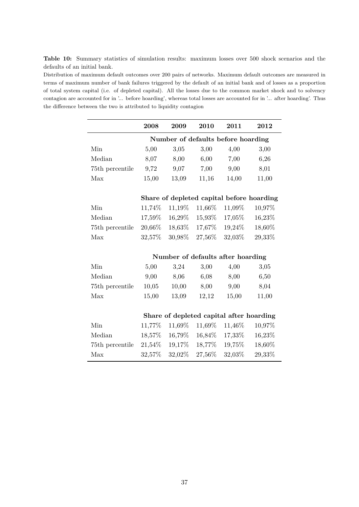<span id="page-38-0"></span>**Table 10:** Summary statistics of simulation results: maximum losses over 500 shock scenarios and the defaults of an initial bank.

Distribution of maximum default outcomes over 200 pairs of networks. Maximum default outcomes are measured in terms of maximum number of bank failures triggered by the default of an initial bank and of losses as a proportion of total system capital (i.e. of depleted capital). All the losses due to the common market shock and to solvency contagion are accounted for in '... before hoarding', whereas total losses are accounted for in '... after hoarding'. Thus the difference between the two is attributed to liquidity contagion

|                                          | 2008                               | 2009        | 2010      | 2011                              | 2012                                      |  |  |  |  |
|------------------------------------------|------------------------------------|-------------|-----------|-----------------------------------|-------------------------------------------|--|--|--|--|
|                                          | Number of defaults before hoarding |             |           |                                   |                                           |  |  |  |  |
| Min                                      | 5,00                               | 3,05        | 3,00      | 4,00                              | 3,00                                      |  |  |  |  |
| Median                                   | 8,07                               | 8,00        | 6,00      | 7,00                              | 6,26                                      |  |  |  |  |
| 75th percentile                          | 9,72                               | 9,07        | 7,00      | 9,00                              | 8,01                                      |  |  |  |  |
| Max                                      | 15,00                              | 13,09       | 11,16     | 14,00                             | 11,00                                     |  |  |  |  |
|                                          |                                    |             |           |                                   | Share of depleted capital before hoarding |  |  |  |  |
| Min                                      | 11,74%                             | 11,19%      | 11,66%    | 11,09%                            | 10,97%                                    |  |  |  |  |
| Median                                   | 17,59%                             | 16,29%      | 15,93%    | 17,05%                            | 16,23%                                    |  |  |  |  |
| 75th percentile                          | 20,66%                             | 18,63%      | 17,67%    | 19,24%                            | 18,60%                                    |  |  |  |  |
| Max                                      | 32,57%                             | 30,98%      | 27,56%    | 32,03%                            | 29,33%                                    |  |  |  |  |
|                                          |                                    |             |           | Number of defaults after hoarding |                                           |  |  |  |  |
| Min                                      | 5,00                               | 3,24        | 3,00      | 4,00                              | 3,05                                      |  |  |  |  |
| Median                                   | 9,00                               | 8,06        | 6,08      | 8,00                              | 6,50                                      |  |  |  |  |
| 75th percentile                          | 10,05                              | 10,00       | 8,00      | 9,00                              | 8,04                                      |  |  |  |  |
| Max                                      | 15,00                              | 13,09       | 12,12     | 15,00                             | 11,00                                     |  |  |  |  |
| Share of depleted capital after hoarding |                                    |             |           |                                   |                                           |  |  |  |  |
| Min                                      | 11,77%                             | 11,69%      | 11,69%    | 11,46%                            | 10,97%                                    |  |  |  |  |
| Median                                   | 18,57%                             | $16{,}79\%$ | $16,84\%$ | 17,33%                            | 16,23%                                    |  |  |  |  |
| 75th percentile                          | 21,54%                             | 19,17%      | 18,77%    | 19,75%                            | 18,60%                                    |  |  |  |  |
| Max                                      | 32,57%                             | 32,02%      | 27,56%    | 32,03%                            | 29,33%                                    |  |  |  |  |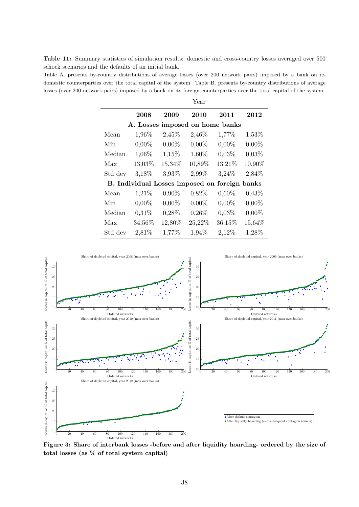<span id="page-39-1"></span>**Table 11:** Summary statistics of simulation results: domestic and cross-country losses averaged over 500 schock scenarios and the defaults of an initial bank.

Table A. presents by-country distributions of average losses (over 200 network pairs) imposed by a bank on its domestic counterparties over the total capital of the system. Table B. presents by-country distributions of average losses (over 200 network pairs) imposed by a bank on its foreign counterparties over the total capital of the system.

|                                 |          |          | Year                                   |               |          |  |  |  |  |
|---------------------------------|----------|----------|----------------------------------------|---------------|----------|--|--|--|--|
|                                 | 2008     | 2009     | 2010                                   | 2011          | 2012     |  |  |  |  |
| A. Losses imposed on home banks |          |          |                                        |               |          |  |  |  |  |
| Mean                            | 1,96%    | 2,45%    | 2,46\%                                 | 1,77%         | 1,53%    |  |  |  |  |
| Min                             | $0,00\%$ | $0,00\%$ | $0,00\%$                               | $0,00\%$      | $0,00\%$ |  |  |  |  |
| Median                          | 1,06%    | 1,15%    | 1,60%                                  | $0,03\%$      | $0,03\%$ |  |  |  |  |
| Max                             | 13,03%   | 15,34%   | 10,89%                                 | 13,21%        | 10,90%   |  |  |  |  |
| Std dev                         | 3,18%    | 3,93%    | 2,99%                                  | 3,24%         | 2,84%    |  |  |  |  |
|                                 |          |          | <b>B.</b> Individual Losses imposed on | foreign banks |          |  |  |  |  |
| Mean                            | 1,21\%   | $0,90\%$ | 0,82%                                  | $0,60\%$      | 0,43%    |  |  |  |  |
| Min                             | $0,00\%$ | $0,00\%$ | $0,00\%$                               | $0,00\%$      | $0,00\%$ |  |  |  |  |
| Median                          | 0,31%    | 0,28%    | 0,26%                                  | $0,03\%$      | $0,00\%$ |  |  |  |  |
| Max                             | 34,56%   | 12,80%   | 25,22%                                 | 36,15%        | 15,64%   |  |  |  |  |
| Std dev                         | 2,81%    | 1,77%    | 1,94%                                  | 2,12%         | 1,28%    |  |  |  |  |

<span id="page-39-0"></span>

**Figure 3: Share of interbank losses -before and after liquidity hoarding- ordered by the size of total losses (as % of total system capital)**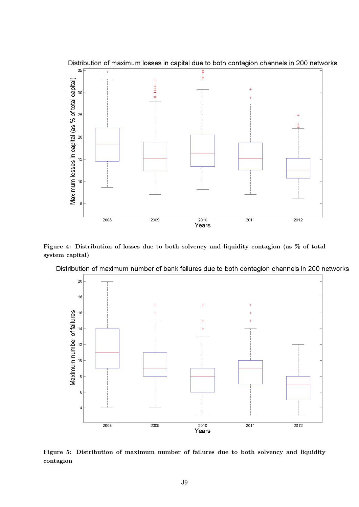

<span id="page-40-0"></span>Distribution of maximum losses in capital due to both contagion channels in 200 networks

**Figure 4: Distribution of losses due to both solvency and liquidity contagion (as % of total system capital)**

Distribution of maximum number of bank failures due to both contagion channels in 200 networks



**Figure 5: Distribution of maximum number of failures due to both solvency and liquidity contagion**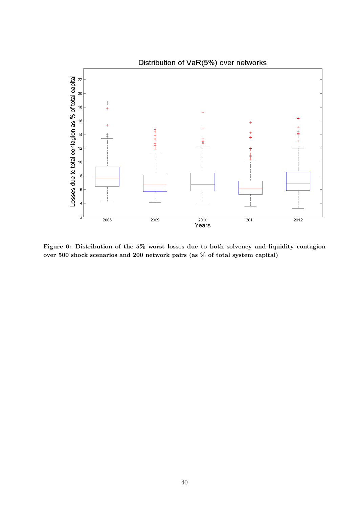<span id="page-41-0"></span>

**Figure 6: Distribution of the 5% worst losses due to both solvency and liquidity contagion over 500 shock scenarios and 200 network pairs (as % of total system capital)**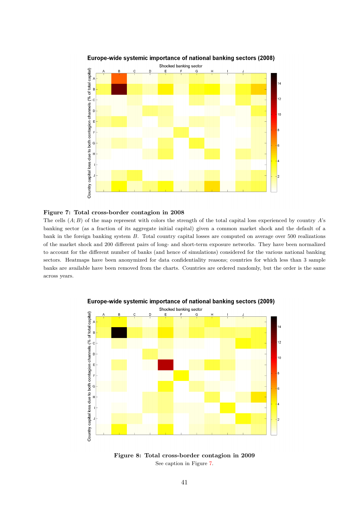

#### <span id="page-42-0"></span>Europe-wide systemic importance of national banking sectors (2008)

#### **Figure 7: Total cross-border contagion in 2008**

The cells (*A*; *B*) of the map represent with colors the strength of the total capital loss experienced by country *A*'s banking sector (as a fraction of its aggregate initial capital) given a common market shock and the default of a bank in the foreign banking system *B*. Total country capital losses are computed on average over 500 realizations of the market shock and 200 different pairs of long- and short-term exposure networks. They have been normalized to account for the different number of banks (and hence of simulations) considered for the various national banking sectors. Heatmaps have been anonymized for data confidentiality reasons; countries for which less than 3 sample banks are available have been removed from the charts. Countries are ordered randomly, but the order is the same across years.



Europe-wide systemic importance of national banking sectors (2009)

**Figure 8: Total cross-border contagion in 2009** See caption in Figure [7.](#page-42-0)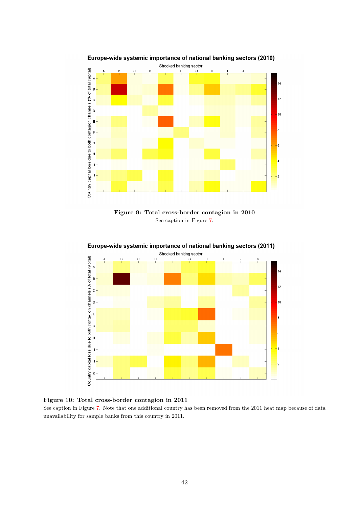

Europe-wide systemic importance of national banking sectors (2010)

**Figure 9: Total cross-border contagion in 2010** See caption in Figure [7.](#page-42-0)



Europe-wide systemic importance of national banking sectors (2011)



See caption in Figure [7.](#page-42-0) Note that one additional country has been removed from the 2011 heat map because of data unavailability for sample banks from this country in 2011.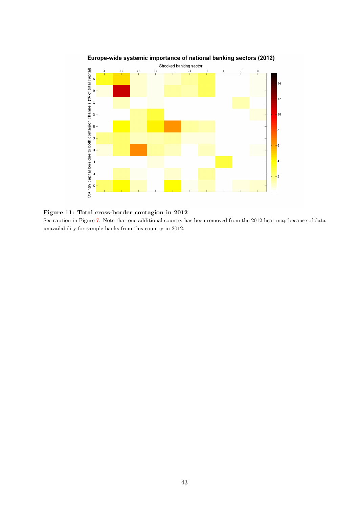

<span id="page-44-0"></span>Europe-wide systemic importance of national banking sectors (2012)

**Figure 11: Total cross-border contagion in 2012**

See caption in Figure [7.](#page-42-0) Note that one additional country has been removed from the 2012 heat map because of data unavailability for sample banks from this country in 2012.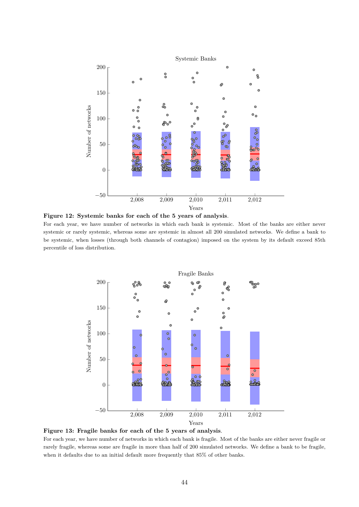<span id="page-45-0"></span>

**Figure 12: Systemic banks for each of the 5 years of analysis**.

For each year, we have number of networks in which each bank is systemic. Most of the banks are either never systemic or rarely systemic, whereas some are systemic in almost all 200 simulated networks. We define a bank to be systemic, when losses (through both channels of contagion) imposed on the system by its default exceed 85th percentile of loss distribution.





For each year, we have number of networks in which each bank is fragile. Most of the banks are either never fragile or rarely fragile, whereas some are fragile in more than half of 200 simulated networks. We define a bank to be fragile, when it defaults due to an initial default more frequently that 85% of other banks.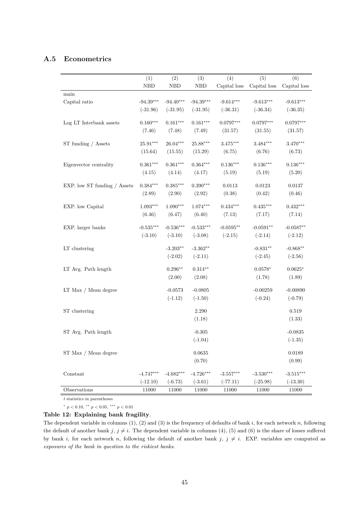## <span id="page-46-0"></span>**A.5 Econometrics**

|                              | (1)                    | (2)         | (3)         | (4)          | (5)          | (6)          |
|------------------------------|------------------------|-------------|-------------|--------------|--------------|--------------|
|                              | ${\rm NBD}$            | <b>NBD</b>  | ${\rm NBD}$ | Capital loss | Capital loss | Capital loss |
| main                         |                        |             |             |              |              |              |
| Capital ratio                | $-94.39***$            | $-94.40***$ | $-94.39***$ | $-9.614***$  | $-9.613***$  | $-9.613***$  |
|                              | $(-31.96)$             | $(-31.95)$  | $(-31.95)$  | $(-36.31)$   | $(-36.34)$   | $(-36.35)$   |
| Log LT Interbank assets      | $0.160***$             | $0.161***$  | $0.161***$  | $0.0797***$  | $0.0797***$  | $0.0797***$  |
|                              | (7.46)                 | (7.48)      | (7.49)      | (31.57)      | (31.55)      | (31.57)      |
| ST funding / Assets          | $25.91^{\ast\ast\ast}$ | $26.04***$  | $25.88***$  | $3.475***$   | $3.484***$   | $3.470***$   |
|                              | (15.64)                | (15.55)     | (15.29)     | (6.75)       | (6.76)       | (6.73)       |
| Eigenvector centrality       | $0.361^{\ast\ast\ast}$ | $0.361***$  | $0.364***$  | $0.136***$   | $0.136***$   | $0.136***$   |
|                              | (4.15)                 | (4.14)      | (4.17)      | (5.19)       | (5.19)       | (5.20)       |
| EXP. low ST funding / Assets | $0.384***$             | $0.385***$  | $0.390***$  | $0.0113\,$   | 0.0123       | 0.0137       |
|                              | (2.89)                 | (2.90)      | (2.92)      | (0.38)       | (0.42)       | (0.46)       |
| EXP. low Capital             | $1.093***$             | $1.090***$  | $1.074***$  | $0.434***$   | $0.435***$   | $0.432***$   |
|                              | (6.46)                 | (6.47)      | (6.40)      | (7.13)       | (7.17)       | (7.14)       |
| EXP. larger banks            | $-0.535***$            | $-0.536***$ | $-0.533***$ | $-0.0595**$  | $-0.0591**$  | $-0.0587**$  |
|                              | $(-3.10)$              | $(-3.10)$   | $(-3.08)$   | $(-2.15)$    | $(-2.14)$    | $(-2.12)$    |
| LT clustering                |                        | $-3.203**$  | $-3.362**$  |              | $-0.831**$   | $-0.868**$   |
|                              |                        | $(-2.02)$   | $(-2.11)$   |              | $(-2.45)$    | $(-2.56)$    |
| LT Avg. Path length          |                        | $0.296**$   | $0.314**$   |              | $0.0578*$    | $0.0625*$    |
|                              |                        | (2.00)      | (2.08)      |              | (1.78)       | (1.89)       |
| LT Max / Mean degree         |                        | $-0.0573$   | $-0.0805$   |              | $-0.00259$   | $-0.00890$   |
|                              |                        | $(-1.12)$   | $(-1.50)$   |              | $(-0.24)$    | $(-0.79)$    |
| ST clustering                |                        |             | 2.290       |              |              | 0.519        |
|                              |                        |             | (1.18)      |              |              | (1.33)       |
| ST Avg. Path length          |                        |             | $-0.305$    |              |              | $-0.0835$    |
|                              |                        |             | $(-1.04)$   |              |              | $(-1.35)$    |
| ST Max / Mean degree         |                        |             | 0.0635      |              |              | 0.0189       |
|                              |                        |             | (0.70)      |              |              | (0.99)       |
| Constant                     | $-4.747***$            | $-4.682***$ | $-4.726***$ | $-3.557***$  | $-3.530***$  | $-3.515***$  |
|                              | $(-12.10)$             | $(-6.73)$   | $(-3.61)$   | $(-77.11)$   | $(-25.98)$   | $(-13.30)$   |
| Observations                 | 11000                  | 11000       | 11000       | 11000        | 11000        | 11000        |

*t* statistics in parentheses

 $*$   $p < 0.10$ ,  $**$   $p < 0.05$ ,  $***$   $p < 0.01$ 

#### **Table 12: Explaining bank fragility**.

The dependent variable in columns (1), (2) and (3) is the frequency of defaults of bank *i*, for each network *n*, following the default of another bank  $j, j \neq i$ . The dependent variable in columns (4), (5) and (6) is the share of losses suffered by bank *i*, for each network *n*, following the default of another bank  $j, j \neq i$ . EXP. variables are computed as *exposures of the bank in question to the riskiest banks*.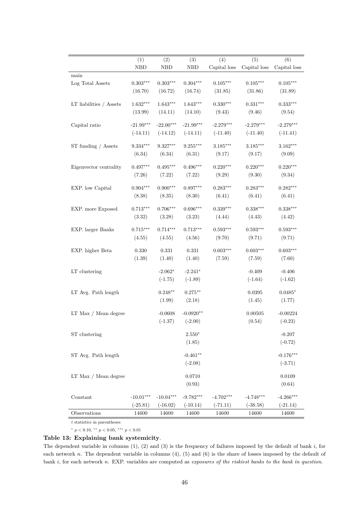<span id="page-47-0"></span>

|                           | (1)         | (2)         | (3)         | (4)          | (5)          | (6)          |
|---------------------------|-------------|-------------|-------------|--------------|--------------|--------------|
|                           | <b>NBD</b>  | <b>NBD</b>  | ${\rm NBD}$ | Capital loss | Capital loss | Capital loss |
| main                      |             |             |             |              |              |              |
| Log Total Assets          | $0.303***$  | $0.303***$  | $0.304***$  | $0.105***$   | $0.105***$   | $0.105***$   |
|                           | (16.70)     | (16.72)     | (16.74)     | (31.85)      | (31.86)      | (31.89)      |
| LT liabilities $/$ Assets | $1.632***$  | $1.643***$  | $1.643***$  | $0.330***$   | $0.331***$   | $0.333***$   |
|                           | (13.99)     | (14.11)     | (14.10)     | (9.43)       | (9.46)       | (9.54)       |
| Capital ratio             | $-21.99***$ | $-22.00***$ | $-21.99***$ | $-2.279***$  | $-2.279***$  | $-2.279***$  |
|                           | $(-14.11)$  | $(-14.12)$  | $(-14.11)$  | $(-11.40)$   | $(-11.40)$   | $(-11.41)$   |
| ST funding / Assets       | $9.334***$  | $9.327***$  | $9.255***$  | $3.185***$   | $3.185***$   | $3.162***$   |
|                           | (6.34)      | (6.34)      | (6.31)      | (9.17)       | (9.17)       | (9.09)       |
| Eigenvector centrality    | $0.497***$  | $0.495***$  | $0.496***$  | $0.220***$   | $0.220***$   | $0.220***$   |
|                           | (7.26)      | (7.22)      | (7.22)      | (9.29)       | (9.30)       | (9.34)       |
| EXP. low Capital          | $0.904***$  | $0.900***$  | $0.897***$  | $0.283***$   | $0.283***$   | $0.282***$   |
|                           | (8.38)      | (8.35)      | (8.30)      | (6.41)       | (6.41)       | (6.41)       |
| EXP. more Exposed         | $0.713***$  | $0.706***$  | $0.696***$  | $0.339***$   | $0.338***$   | $0.338***$   |
|                           | (3.32)      | (3.28)      | (3.23)      | (4.44)       | (4.43)       | (4.42)       |
| EXP. larger Banks         | $0.715***$  | $0.714***$  | $0.713***$  | $0.593***$   | $0.593***$   | $0.593***$   |
|                           | (4.55)      | (4.55)      | (4.56)      | (9.70)       | (9.71)       | (9.71)       |
| EXP. higher Beta          | 0.330       | 0.331       | 0.331       | $0.603***$   | $0.603***$   | $0.603***$   |
|                           | (1.39)      | (1.40)      | (1.40)      | (7.59)       | (7.59)       | (7.60)       |
| LT clustering             |             | $-2.062*$   | $-2.241*$   |              | $-0.409$     | $-0.406$     |
|                           |             | $(-1.75)$   | $(-1.89)$   |              | $(-1.64)$    | $(-1.62)$    |
| LT Avg. Path length       |             | $0.248**$   | $0.275***$  |              | 0.0395       | $0.0485*$    |
|                           |             | (1.99)      | (2.18)      |              | (1.45)       | (1.77)       |
| LT Max / Mean degree      |             | $-0.0608$   | $-0.0920**$ |              | 0.00505      | $-0.00224$   |
|                           |             | $(-1.37)$   | $(-2.00)$   |              | (0.54)       | $(-0.23)$    |
| ST clustering             |             |             | $2.550*$    |              |              | $-0.207$     |
|                           |             |             | (1.85)      |              |              | $(-0.72)$    |
| ST Avg. Path length       |             |             | $-0.461**$  |              |              | $-0.176***$  |
|                           |             |             | $(-2.08)$   |              |              | $(-3.71)$    |
|                           |             |             |             |              |              |              |
| $LT$ Max / Mean degree    |             |             | 0.0710      |              |              | 0.0109       |
|                           |             |             | (0.93)      |              |              | (0.64)       |
| Constant                  | $-10.01***$ | $-10.04***$ | $-9.782***$ | $-4.702***$  | $-4.748***$  | $-4.266***$  |
|                           | $(-25.81)$  | $(-16.02)$  | $(-10.14)$  | $(-71.11)$   | $(-38.58)$   | $(-21.14)$   |
| Observations              | 14600       | 14600       | 14600       | 14600        | 14600        | 14600        |

*t* statistics in parentheses

 $*$   $p < 0.10$ ,  $**$   $p < 0.05$ ,  $***$   $p < 0.01$ 

#### **Table 13: Explaining bank systemicity**.

The dependent variable in columns (1), (2) and (3) is the frequency of failures imposed by the default of bank *i*, for each network *n*. The dependent variable in columns (4), (5) and (6) is the share of losses imposed by the default of bank *i*, for each network *n*. EXP. variables are computed as *exposures of the riskiest banks to the bank in question*.